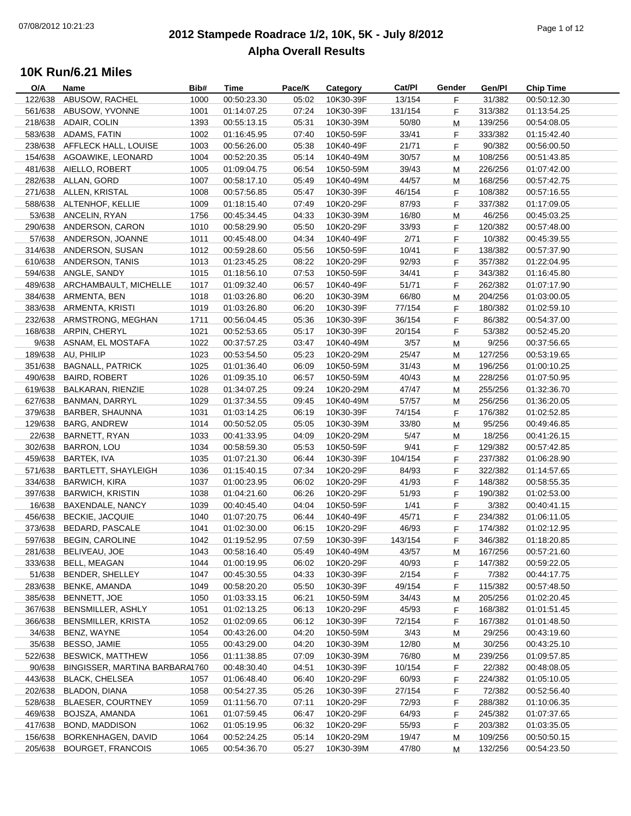### **2012 Stampede Roadrace 1/2, 10K, 5K - July 8/2012**  $P_1$  of  $P_2$  of  $P_3$  of  $P_4$  of  $P_5$  of  $P_6$  of  $P_7$  of  $P_8$  of  $P_9$  of  $P_9$  of  $P_9$  of  $P_9$  of  $P_9$  of  $P_9$  of  $P_9$  of  $P_9$  of  $P_9$  of  $P_9$  of  $P_9$  of  $P_9$  of  $P_9$  of  $P_9$  of  $P_9$  of  $P_9$  of  $P_9$ **Alpha Overall Results**

| O/A     | <b>Name</b>                    | Bib# | <b>Time</b>                | Pace/K | Category  | Cat/PI  | Gender | Gen/Pl  | <b>Chip Time</b> |
|---------|--------------------------------|------|----------------------------|--------|-----------|---------|--------|---------|------------------|
| 122/638 | ABUSOW, RACHEL                 | 1000 | 00:50:23.30                | 05:02  | 10K30-39F | 13/154  | F.     | 31/382  | 00:50:12.30      |
| 561/638 | ABUSOW, YVONNE                 | 1001 | 01:14:07.25                | 07:24  | 10K30-39F | 131/154 | F      | 313/382 | 01:13:54.25      |
|         | 218/638 ADAIR, COLIN           | 1393 | 00:55:13.15                | 05:31  | 10K30-39M | 50/80   | М      | 139/256 | 00:54:08.05      |
|         | 583/638 ADAMS, FATIN           | 1002 | 01:16:45.95                | 07:40  | 10K50-59F | 33/41   | F      | 333/382 | 01:15:42.40      |
| 238/638 | AFFLECK HALL, LOUISE           | 1003 | 00:56:26.00                | 05:38  | 10K40-49F | 21/71   | F.     | 90/382  | 00:56:00.50      |
| 154/638 | AGOAWIKE, LEONARD              | 1004 | 00:52:20.35                | 05:14  | 10K40-49M | 30/57   | M      | 108/256 | 00:51:43.85      |
| 481/638 | AIELLO, ROBERT                 | 1005 | 01:09:04.75                | 06:54  | 10K50-59M | 39/43   | M      | 226/256 | 01:07:42.00      |
|         | 282/638 ALLAN, GORD            | 1007 | 00:58:17.10                | 05:49  | 10K40-49M | 44/57   | M      | 168/256 | 00:57:42.75      |
|         | 271/638 ALLEN, KRISTAL         | 1008 | 00:57:56.85                | 05:47  | 10K30-39F | 46/154  | F      | 108/382 | 00:57:16.55      |
|         | 588/638 ALTENHOF, KELLIE       | 1009 | 01:18:15.40                | 07:49  | 10K20-29F | 87/93   | F      | 337/382 | 01:17:09.05      |
|         | 53/638 ANCELIN, RYAN           | 1756 | 00:45:34.45                | 04:33  | 10K30-39M | 16/80   | M      | 46/256  | 00:45:03.25      |
|         | 290/638 ANDERSON, CARON        | 1010 | 00:58:29.90                | 05:50  | 10K20-29F | 33/93   | F.     | 120/382 | 00:57:48.00      |
| 57/638  | ANDERSON, JOANNE               | 1011 | 00:45:48.00                | 04:34  | 10K40-49F | 2/71    | F      | 10/382  | 00:45:39.55      |
| 314/638 | ANDERSON, SUSAN                | 1012 | 00:59:28.60                | 05:56  | 10K50-59F | 10/41   | F.     | 138/382 | 00:57:37.90      |
| 610/638 | ANDERSON, TANIS                | 1013 | 01:23:45.25                | 08:22  | 10K20-29F | 92/93   | F      | 357/382 | 01:22:04.95      |
|         | 594/638 ANGLE, SANDY           | 1015 | 01:18:56.10                | 07:53  | 10K50-59F | 34/41   |        | 343/382 |                  |
|         |                                |      |                            |        |           |         | F.     |         | 01:16:45.80      |
|         | 489/638 ARCHAMBAULT, MICHELLE  | 1017 | 01:09:32.40<br>01:03:26.80 | 06:57  | 10K40-49F | 51/71   | F      | 262/382 | 01:07:17.90      |
|         | 384/638 ARMENTA, BEN           | 1018 |                            | 06:20  | 10K30-39M | 66/80   | M      | 204/256 | 01:03:00.05      |
|         | 383/638 ARMENTA, KRISTI        | 1019 | 01:03:26.80                | 06:20  | 10K30-39F | 77/154  | F.     | 180/382 | 01:02:59.10      |
|         | 232/638 ARMSTRONG, MEGHAN      | 1711 | 00:56:04.45                | 05:36  | 10K30-39F | 36/154  | F.     | 86/382  | 00:54:37.00      |
|         | 168/638 ARPIN, CHERYL          | 1021 | 00:52:53.65                | 05:17  | 10K30-39F | 20/154  | F.     | 53/382  | 00:52:45.20      |
| 9/638   | ASNAM, EL MOSTAFA              | 1022 | 00:37:57.25                | 03:47  | 10K40-49M | 3/57    | M      | 9/256   | 00:37:56.65      |
| 189/638 | AU, PHILIP                     | 1023 | 00:53:54.50                | 05:23  | 10K20-29M | 25/47   | М      | 127/256 | 00:53:19.65      |
| 351/638 | <b>BAGNALL, PATRICK</b>        | 1025 | 01:01:36.40                | 06:09  | 10K50-59M | 31/43   | M      | 196/256 | 01:00:10.25      |
| 490/638 | <b>BAIRD, ROBERT</b>           | 1026 | 01:09:35.10                | 06:57  | 10K50-59M | 40/43   | M      | 228/256 | 01:07:50.95      |
| 619/638 | BALKARAN, RIENZIE              | 1028 | 01:34:07.25                | 09:24  | 10K20-29M | 47/47   | M      | 255/256 | 01:32:36.70      |
| 627/638 | <b>BANMAN, DARRYL</b>          | 1029 | 01:37:34.55                | 09:45  | 10K40-49M | 57/57   | м      | 256/256 | 01:36:20.05      |
| 379/638 | BARBER, SHAUNNA                | 1031 | 01:03:14.25                | 06:19  | 10K30-39F | 74/154  | F.     | 176/382 | 01:02:52.85      |
| 129/638 | <b>BARG, ANDREW</b>            | 1014 | 00:50:52.05                | 05:05  | 10K30-39M | 33/80   | м      | 95/256  | 00:49:46.85      |
| 22/638  | BARNETT, RYAN                  | 1033 | 00:41:33.95                | 04:09  | 10K20-29M | 5/47    | M      | 18/256  | 00:41:26.15      |
| 302/638 | <b>BARRON, LOU</b>             | 1034 | 00:58:59.30                | 05:53  | 10K50-59F | 9/41    | F      | 129/382 | 00:57:42.85      |
| 459/638 | BARTEK, IVA                    | 1035 | 01:07:21.30                | 06:44  | 10K30-39F | 104/154 | F      | 237/382 | 01:06:28.90      |
| 571/638 | <b>BARTLETT, SHAYLEIGH</b>     | 1036 | 01:15:40.15                | 07:34  | 10K20-29F | 84/93   | F.     | 322/382 | 01:14:57.65      |
| 334/638 | <b>BARWICH, KIRA</b>           | 1037 | 01:00:23.95                | 06:02  | 10K20-29F | 41/93   | F      | 148/382 | 00:58:55.35      |
| 397/638 | <b>BARWICH, KRISTIN</b>        | 1038 | 01:04:21.60                | 06:26  | 10K20-29F | 51/93   | F.     | 190/382 | 01:02:53.00      |
| 16/638  | BAXENDALE, NANCY               | 1039 | 00:40:45.40                | 04:04  | 10K50-59F | 1/41    | F.     | 3/382   | 00:40:41.15      |
| 456/638 | <b>BECKIE, JACQUIE</b>         | 1040 | 01:07:20.75                | 06:44  | 10K40-49F | 45/71   | F      | 234/382 | 01:06:11.05      |
| 373/638 | <b>BEDARD, PASCALE</b>         | 1041 | 01:02:30.00                | 06:15  | 10K20-29F | 46/93   | F      | 174/382 | 01:02:12.95      |
| 597/638 | <b>BEGIN, CAROLINE</b>         | 1042 | 01:19:52.95                | 07:59  | 10K30-39F | 143/154 | F      | 346/382 | 01:18:20.85      |
| 281/638 | BELIVEAU, JOE                  | 1043 | 00:58:16.40                | 05:49  | 10K40-49M | 43/57   | M      | 167/256 | 00:57:21.60      |
| 333/638 | <b>BELL, MEAGAN</b>            | 1044 | 01:00:19.95                | 06:02  | 10K20-29F | 40/93   | F      | 147/382 | 00:59:22.05      |
| 51/638  | <b>BENDER, SHELLEY</b>         | 1047 | 00:45:30.55                | 04:33  | 10K30-39F | 2/154   | F      | 7/382   | 00:44:17.75      |
| 283/638 | BENKE, AMANDA                  | 1049 | 00:58:20.20                | 05:50  | 10K30-39F | 49/154  | F      | 115/382 | 00:57:48.50      |
| 385/638 | BENNETT, JOE                   | 1050 | 01:03:33.15                | 06:21  | 10K50-59M | 34/43   | M      | 205/256 | 01:02:20.45      |
| 367/638 | BENSMILLER, ASHLY              | 1051 | 01:02:13.25                | 06:13  | 10K20-29F | 45/93   | F.     | 168/382 | 01:01:51.45      |
| 366/638 | <b>BENSMILLER, KRISTA</b>      | 1052 | 01:02:09.65                | 06:12  | 10K30-39F | 72/154  | F      | 167/382 | 01:01:48.50      |
| 34/638  | BENZ, WAYNE                    | 1054 | 00:43:26.00                | 04:20  | 10K50-59M | 3/43    | M      | 29/256  | 00:43:19.60      |
| 35/638  | BESSO, JAMIE                   | 1055 | 00:43:29.00                | 04:20  | 10K30-39M | 12/80   | M      | 30/256  | 00:43:25.10      |
| 522/638 | <b>BESWICK, MATTHEW</b>        | 1056 | 01:11:38.85                | 07:09  | 10K30-39M | 76/80   | M      | 239/256 | 01:09:57.85      |
| 90/638  | BINGISSER, MARTINA BARBARA1760 |      | 00:48:30.40                | 04:51  | 10K30-39F | 10/154  | F      | 22/382  | 00:48:08.05      |
| 443/638 | BLACK, CHELSEA                 | 1057 | 01:06:48.40                | 06:40  | 10K20-29F | 60/93   | F      | 224/382 | 01:05:10.05      |
| 202/638 | BLADON, DIANA                  |      | 00:54:27.35                |        |           |         |        | 72/382  |                  |
|         |                                | 1058 |                            | 05:26  | 10K30-39F | 27/154  | F.     |         | 00:52:56.40      |
| 528/638 | <b>BLAESER, COURTNEY</b>       | 1059 | 01:11:56.70                | 07:11  | 10K20-29F | 72/93   | F      | 288/382 | 01:10:06.35      |
| 469/638 | BOJSZA, AMANDA                 | 1061 | 01:07:59.45                | 06:47  | 10K20-29F | 64/93   | F.     | 245/382 | 01:07:37.65      |
| 417/638 | BOND, MADDISON                 | 1062 | 01:05:19.95                | 06:32  | 10K20-29F | 55/93   | F.     | 203/382 | 01:03:35.05      |
| 156/638 | BORKENHAGEN, DAVID             | 1064 | 00:52:24.25                | 05:14  | 10K20-29M | 19/47   | M      | 109/256 | 00:50:50.15      |
| 205/638 | <b>BOURGET, FRANCOIS</b>       | 1065 | 00:54:36.70                | 05:27  | 10K30-39M | 47/80   | M      | 132/256 | 00:54:23.50      |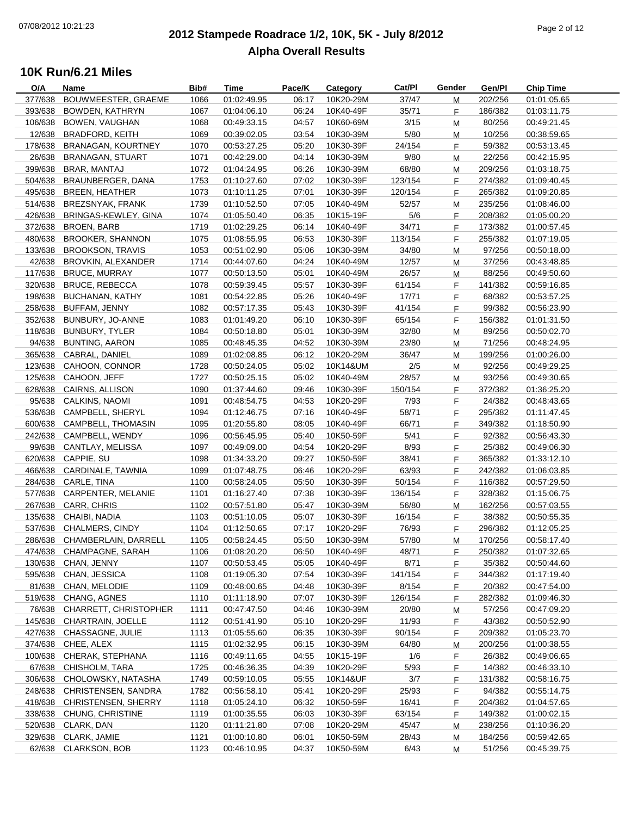### **2012 Stampede Roadrace 1/2, 10K, 5K - July 8/2012**  $P_1$  of  $P_2$  of  $P_3$  of  $P_4$  of  $P_5$  of  $P_6$  of  $P_7$  of  $P_8$  of  $P_7$  of  $P_8$  of  $P_9$  of  $P_9$  of  $P_9$  of  $P_9$  of  $P_9$  of  $P_9$  of  $P_9$  of  $P_9$  of  $P_9$  of  $P_9$  of  $P_9$  of  $P_9$  of  $P_9$  of  $P_9$  of  $P_9$ **Alpha Overall Results**

| O/A     | Name                         | Bib# | Time        | Pace/K | Category  | Cat/PI  | Gender | Gen/Pl  | <b>Chip Time</b> |
|---------|------------------------------|------|-------------|--------|-----------|---------|--------|---------|------------------|
| 377/638 | BOUWMEESTER, GRAEME          | 1066 | 01:02:49.95 | 06:17  | 10K20-29M | 37/47   | М      | 202/256 | 01:01:05.65      |
| 393/638 | <b>BOWDEN, KATHRYN</b>       | 1067 | 01:04:06.10 | 06:24  | 10K40-49F | 35/71   | F      | 186/382 | 01:03:11.75      |
| 106/638 | BOWEN, VAUGHAN               | 1068 | 00:49:33.15 | 04:57  | 10K60-69M | 3/15    | M      | 80/256  | 00:49:21.45      |
| 12/638  | <b>BRADFORD, KEITH</b>       | 1069 | 00:39:02.05 | 03:54  | 10K30-39M | 5/80    | M      | 10/256  | 00:38:59.65      |
| 178/638 | BRANAGAN, KOURTNEY           | 1070 | 00:53:27.25 | 05:20  | 10K30-39F | 24/154  | F      | 59/382  | 00:53:13.45      |
| 26/638  | <b>BRANAGAN, STUART</b>      | 1071 | 00:42:29.00 | 04:14  | 10K30-39M | 9/80    | M      | 22/256  | 00:42:15.95      |
| 399/638 | BRAR, MANTAJ                 | 1072 | 01:04:24.95 | 06:26  | 10K30-39M | 68/80   | M      | 209/256 | 01:03:18.75      |
| 504/638 | BRAUNBERGER, DANA            | 1753 | 01:10:27.60 | 07:02  | 10K30-39F | 123/154 | F      | 274/382 | 01:09:40.45      |
| 495/638 | <b>BREEN, HEATHER</b>        | 1073 | 01:10:11.25 | 07:01  | 10K30-39F | 120/154 | F      | 265/382 | 01:09:20.85      |
| 514/638 | BREZSNYAK, FRANK             | 1739 | 01:10:52.50 | 07:05  | 10K40-49M | 52/57   | M      | 235/256 | 01:08:46.00      |
| 426/638 | BRINGAS-KEWLEY, GINA         | 1074 | 01:05:50.40 | 06:35  | 10K15-19F | 5/6     | F      | 208/382 | 01:05:00.20      |
| 372/638 | <b>BROEN, BARB</b>           | 1719 | 01:02:29.25 | 06:14  | 10K40-49F | 34/71   | F      | 173/382 | 01:00:57.45      |
| 480/638 | <b>BROOKER, SHANNON</b>      | 1075 | 01:08:55.95 | 06:53  | 10K30-39F | 113/154 | F.     | 255/382 | 01:07:19.05      |
| 133/638 | <b>BROOKSON, TRAVIS</b>      | 1053 | 00:51:02.90 | 05:06  | 10K30-39M | 34/80   | M      | 97/256  | 00:50:18.00      |
| 42/638  | BROVKIN, ALEXANDER           | 1714 | 00:44:07.60 | 04:24  | 10K40-49M | 12/57   | м      | 37/256  | 00:43:48.85      |
| 117/638 | <b>BRUCE, MURRAY</b>         | 1077 | 00:50:13.50 | 05:01  | 10K40-49M | 26/57   | M      | 88/256  | 00:49:50.60      |
| 320/638 | <b>BRUCE, REBECCA</b>        | 1078 | 00:59:39.45 | 05:57  | 10K30-39F | 61/154  | F.     | 141/382 | 00:59:16.85      |
| 198/638 | <b>BUCHANAN, KATHY</b>       | 1081 | 00:54:22.85 | 05:26  | 10K40-49F | 17/71   | F.     | 68/382  | 00:53:57.25      |
| 258/638 | <b>BUFFAM, JENNY</b>         | 1082 | 00:57:17.35 | 05:43  | 10K30-39F | 41/154  | F.     | 99/382  | 00:56:23.90      |
| 352/638 | BUNBURY, JO-ANNE             | 1083 | 01:01:49.20 | 06:10  | 10K30-39F | 65/154  | F.     | 156/382 | 01:01:31.50      |
| 118/638 | <b>BUNBURY, TYLER</b>        | 1084 | 00:50:18.80 | 05:01  | 10K30-39M | 32/80   | M      | 89/256  | 00:50:02.70      |
| 94/638  | <b>BUNTING, AARON</b>        | 1085 | 00:48:45.35 | 04:52  | 10K30-39M | 23/80   | M      | 71/256  | 00:48:24.95      |
| 365/638 | CABRAL, DANIEL               | 1089 | 01:02:08.85 | 06:12  | 10K20-29M | 36/47   | м      | 199/256 | 01:00:26.00      |
| 123/638 | CAHOON, CONNOR               | 1728 | 00:50:24.05 | 05:02  | 10K14&UM  | 2/5     | M      | 92/256  | 00:49:29.25      |
| 125/638 | CAHOON, JEFF                 | 1727 | 00:50:25.15 | 05:02  | 10K40-49M | 28/57   | М      | 93/256  | 00:49:30.65      |
| 628/638 | CAIRNS, ALLISON              | 1090 | 01:37:44.60 | 09:46  | 10K30-39F | 150/154 | F      | 372/382 | 01:36:25.20      |
| 95/638  | CALKINS, NAOMI               | 1091 | 00:48:54.75 | 04:53  | 10K20-29F | 7/93    | F.     | 24/382  | 00:48:43.65      |
| 536/638 | CAMPBELL, SHERYL             | 1094 | 01:12:46.75 | 07:16  | 10K40-49F | 58/71   | F.     | 295/382 | 01:11:47.45      |
| 600/638 | CAMPBELL, THOMASIN           | 1095 | 01:20:55.80 | 08:05  | 10K40-49F | 66/71   | F.     | 349/382 | 01:18:50.90      |
| 242/638 | CAMPBELL, WENDY              | 1096 | 00:56:45.95 | 05:40  | 10K50-59F | 5/41    | F.     | 92/382  | 00:56:43.30      |
| 99/638  | CANTLAY, MELISSA             | 1097 | 00:49:09.00 | 04:54  | 10K20-29F | 8/93    | F.     | 25/382  | 00:49:06.30      |
| 620/638 | CAPPIE, SU                   | 1098 | 01:34:33.20 | 09:27  | 10K50-59F | 38/41   | F.     | 365/382 | 01:33:12.10      |
| 466/638 | CARDINALE, TAWNIA            | 1099 | 01:07:48.75 | 06:46  | 10K20-29F | 63/93   | F.     | 242/382 | 01:06:03.85      |
| 284/638 | CARLE, TINA                  | 1100 | 00:58:24.05 | 05:50  | 10K30-39F | 50/154  | F.     | 116/382 | 00:57:29.50      |
| 577/638 | CARPENTER, MELANIE           | 1101 | 01:16:27.40 | 07:38  | 10K30-39F | 136/154 | F.     | 328/382 | 01:15:06.75      |
| 267/638 | CARR, CHRIS                  | 1102 | 00:57:51.80 | 05:47  | 10K30-39M | 56/80   | M      | 162/256 | 00:57:03.55      |
| 135/638 | CHAIBI, NADIA                | 1103 | 00:51:10.05 | 05:07  | 10K30-39F | 16/154  | F.     | 38/382  | 00:50:55.35      |
| 537/638 | CHALMERS, CINDY              | 1104 | 01:12:50.65 | 07:17  | 10K20-29F | 76/93   | F.     | 296/382 | 01:12:05.25      |
|         | 286/638 CHAMBERLAIN, DARRELL | 1105 | 00:58:24.45 | 05:50  | 10K30-39M | 57/80   | M      | 170/256 | 00:58:17.40      |
| 474/638 | CHAMPAGNE, SARAH             | 1106 | 01:08:20.20 | 06:50  | 10K40-49F | 48/71   | F.     | 250/382 | 01:07:32.65      |
| 130/638 | CHAN, JENNY                  | 1107 | 00:50:53.45 | 05:05  | 10K40-49F | 8/71    | F      | 35/382  | 00:50:44.60      |
| 595/638 | CHAN, JESSICA                | 1108 | 01:19:05.30 | 07:54  | 10K30-39F | 141/154 | F.     | 344/382 | 01:17:19.40      |
| 81/638  | CHAN, MELODIE                | 1109 | 00:48:00.65 | 04:48  | 10K30-39F | 8/154   | F      | 20/382  | 00:47:54.00      |
| 519/638 | CHANG, AGNES                 | 1110 | 01:11:18.90 | 07:07  | 10K30-39F | 126/154 | F.     | 282/382 | 01:09:46.30      |
| 76/638  | CHARRETT, CHRISTOPHER        | 1111 | 00:47:47.50 | 04:46  | 10K30-39M | 20/80   | М      | 57/256  | 00:47:09.20      |
| 145/638 | CHARTRAIN, JOELLE            | 1112 | 00:51:41.90 | 05:10  | 10K20-29F | 11/93   | F.     | 43/382  | 00:50:52.90      |
| 427/638 | CHASSAGNE, JULIE             | 1113 | 01:05:55.60 | 06:35  | 10K30-39F | 90/154  | F.     | 209/382 | 01:05:23.70      |
| 374/638 | CHEE, ALEX                   | 1115 | 01:02:32.95 | 06:15  | 10K30-39M | 64/80   | M      | 200/256 | 01:00:38.55      |
| 100/638 | CHERAK, STEPHANA             | 1116 | 00:49:11.65 | 04:55  | 10K15-19F | 1/6     | F.     | 26/382  | 00:49:06.65      |
| 67/638  | CHISHOLM, TARA               | 1725 | 00:46:36.35 | 04:39  | 10K20-29F | 5/93    | F.     | 14/382  | 00:46:33.10      |
| 306/638 | CHOLOWSKY, NATASHA           | 1749 | 00:59:10.05 | 05:55  | 10K14&UF  | 3/7     | F      | 131/382 | 00:58:16.75      |
| 248/638 | CHRISTENSEN, SANDRA          | 1782 | 00:56:58.10 | 05:41  | 10K20-29F | 25/93   | F.     | 94/382  | 00:55:14.75      |
| 418/638 | <b>CHRISTENSEN, SHERRY</b>   | 1118 | 01:05:24.10 | 06:32  | 10K50-59F | 16/41   | F      | 204/382 | 01:04:57.65      |
| 338/638 | CHUNG, CHRISTINE             | 1119 | 01:00:35.55 | 06:03  | 10K30-39F | 63/154  | F.     | 149/382 | 01:00:02.15      |
| 520/638 | CLARK, DAN                   | 1120 | 01:11:21.80 | 07:08  | 10K20-29M | 45/47   | м      | 238/256 | 01:10:36.20      |
| 329/638 | CLARK, JAMIE                 | 1121 | 01:00:10.80 | 06:01  | 10K50-59M | 28/43   | M      | 184/256 | 00:59:42.65      |
| 62/638  | <b>CLARKSON, BOB</b>         | 1123 | 00:46:10.95 | 04:37  | 10K50-59M | 6/43    | M      | 51/256  | 00:45:39.75      |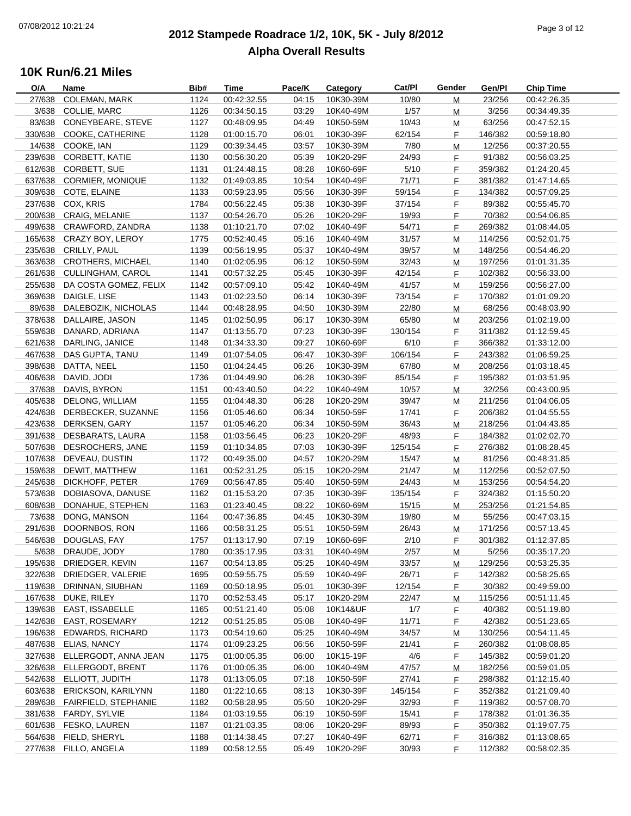### **2012 Stampede Roadrace 1/2, 10K, 5K - July 8/2012**  $P_1$  of  $P_2$  of  $P_3$  of  $P_4$  or  $P_5$  of  $P_5$  or  $P_6$  or  $P_7$  or  $P_8$  or  $P_9$  or  $P_9$  or  $P_9$  or  $P_9$  or  $P_9$  or  $P_9$  or  $P_9$  or  $P_9$  or  $P_9$  or  $P_9$  or  $P_9$  or  $P_9$  or  $P_9$  or  $P_9$  or  $P_9$  or  $P_9$ **Alpha Overall Results**

| O/A     | Name                      | Bib# | Time        | Pace/K | Category  | Cat/PI  | Gender | Gen/Pl  | <b>Chip Time</b> |
|---------|---------------------------|------|-------------|--------|-----------|---------|--------|---------|------------------|
| 27/638  | COLEMAN, MARK             | 1124 | 00:42:32.55 | 04:15  | 10K30-39M | 10/80   | M      | 23/256  | 00:42:26.35      |
| 3/638   | COLLIE, MARC              | 1126 | 00:34:50.15 | 03:29  | 10K40-49M | 1/57    | M      | 3/256   | 00:34:49.35      |
| 83/638  | CONEYBEARE, STEVE         | 1127 | 00:48:09.95 | 04:49  | 10K50-59M | 10/43   | M      | 63/256  | 00:47:52.15      |
| 330/638 | COOKE, CATHERINE          | 1128 | 01:00:15.70 | 06:01  | 10K30-39F | 62/154  | F      | 146/382 | 00:59:18.80      |
| 14/638  | COOKE, IAN                | 1129 | 00:39:34.45 | 03:57  | 10K30-39M | 7/80    | M      | 12/256  | 00:37:20.55      |
| 239/638 | <b>CORBETT, KATIE</b>     | 1130 | 00:56:30.20 | 05:39  | 10K20-29F | 24/93   | F      | 91/382  | 00:56:03.25      |
| 612/638 | CORBETT, SUE              | 1131 | 01:24:48.15 | 08:28  | 10K60-69F | 5/10    | F      | 359/382 | 01:24:20.45      |
| 637/638 | <b>CORMIER, MONIQUE</b>   | 1132 | 01:49:03.85 | 10:54  | 10K40-49F | 71/71   | F      | 381/382 | 01:47:14.65      |
| 309/638 | COTE, ELAINE              | 1133 | 00:59:23.95 | 05:56  | 10K30-39F | 59/154  | F      | 134/382 | 00:57:09.25      |
| 237/638 | COX, KRIS                 | 1784 | 00:56:22.45 | 05:38  | 10K30-39F | 37/154  | F      | 89/382  | 00:55:45.70      |
| 200/638 | <b>CRAIG, MELANIE</b>     | 1137 | 00:54:26.70 | 05:26  | 10K20-29F | 19/93   | F      | 70/382  | 00:54:06.85      |
| 499/638 | CRAWFORD, ZANDRA          | 1138 | 01:10:21.70 | 07:02  | 10K40-49F | 54/71   | F      | 269/382 | 01:08:44.05      |
|         |                           |      |             |        |           |         |        |         |                  |
| 165/638 | CRAZY BOY, LEROY          | 1775 | 00:52:40.45 | 05:16  | 10K40-49M | 31/57   | M      | 114/256 | 00:52:01.75      |
| 235/638 | CRILLY, PAUL              | 1139 | 00:56:19.95 | 05:37  | 10K40-49M | 39/57   | М      | 148/256 | 00:54:46.20      |
| 363/638 | <b>CROTHERS, MICHAEL</b>  | 1140 | 01:02:05.95 | 06:12  | 10K50-59M | 32/43   | М      | 197/256 | 01:01:31.35      |
| 261/638 | CULLINGHAM, CAROL         | 1141 | 00:57:32.25 | 05:45  | 10K30-39F | 42/154  | F      | 102/382 | 00:56:33.00      |
| 255/638 | DA COSTA GOMEZ, FELIX     | 1142 | 00:57:09.10 | 05:42  | 10K40-49M | 41/57   | M      | 159/256 | 00:56:27.00      |
| 369/638 | DAIGLE, LISE              | 1143 | 01:02:23.50 | 06:14  | 10K30-39F | 73/154  | F      | 170/382 | 01:01:09.20      |
| 89/638  | DALEBOZIK, NICHOLAS       | 1144 | 00:48:28.95 | 04:50  | 10K30-39M | 22/80   | M      | 68/256  | 00:48:03.90      |
| 378/638 | DALLAIRE, JASON           | 1145 | 01:02:50.95 | 06:17  | 10K30-39M | 65/80   | М      | 203/256 | 01:02:19.00      |
| 559/638 | DANARD, ADRIANA           | 1147 | 01:13:55.70 | 07:23  | 10K30-39F | 130/154 | F.     | 311/382 | 01:12:59.45      |
| 621/638 | DARLING, JANICE           | 1148 | 01:34:33.30 | 09:27  | 10K60-69F | 6/10    | F      | 366/382 | 01:33:12.00      |
| 467/638 | DAS GUPTA, TANU           | 1149 | 01:07:54.05 | 06:47  | 10K30-39F | 106/154 | F      | 243/382 | 01:06:59.25      |
| 398/638 | DATTA, NEEL               | 1150 | 01:04:24.45 | 06:26  | 10K30-39M | 67/80   | М      | 208/256 | 01:03:18.45      |
| 406/638 | DAVID, JODI               | 1736 | 01:04:49.90 | 06:28  | 10K30-39F | 85/154  | F      | 195/382 | 01:03:51.95      |
| 37/638  | DAVIS, BYRON              | 1151 | 00:43:40.50 | 04:22  | 10K40-49M | 10/57   | M      | 32/256  | 00:43:00.95      |
| 405/638 | DELONG, WILLIAM           | 1155 | 01:04:48.30 | 06:28  | 10K20-29M | 39/47   | M      | 211/256 | 01:04:06.05      |
| 424/638 | DERBECKER, SUZANNE        | 1156 | 01:05:46.60 | 06:34  | 10K50-59F | 17/41   | F      | 206/382 | 01:04:55.55      |
| 423/638 | DERKSEN, GARY             | 1157 | 01:05:46.20 | 06:34  | 10K50-59M | 36/43   | М      | 218/256 | 01:04:43.85      |
| 391/638 | DESBARATS, LAURA          | 1158 | 01:03:56.45 | 06:23  | 10K20-29F | 48/93   | F      | 184/382 | 01:02:02.70      |
| 507/638 | DESROCHERS, JANE          | 1159 | 01:10:34.85 | 07:03  | 10K30-39F | 125/154 | F      | 276/382 | 01:08:28.45      |
| 107/638 | DEVEAU, DUSTIN            | 1172 | 00:49:35.00 | 04:57  | 10K20-29M | 15/47   | М      | 81/256  | 00:48:31.85      |
| 159/638 | DEWIT, MATTHEW            | 1161 | 00:52:31.25 | 05:15  | 10K20-29M | 21/47   | М      | 112/256 | 00:52:07.50      |
| 245/638 | DICKHOFF, PETER           | 1769 | 00:56:47.85 | 05:40  | 10K50-59M | 24/43   | M      | 153/256 | 00:54:54.20      |
| 573/638 | DOBIASOVA, DANUSE         | 1162 | 01:15:53.20 | 07:35  | 10K30-39F | 135/154 | F      | 324/382 | 01:15:50.20      |
| 608/638 | DONAHUE, STEPHEN          | 1163 | 01:23:40.45 | 08:22  | 10K60-69M | 15/15   | M      | 253/256 | 01:21:54.85      |
| 73/638  | DONG, MANSON              | 1164 | 00:47:36.85 | 04:45  | 10K30-39M | 19/80   | M      | 55/256  | 00:47:03.15      |
| 291/638 | DOORNBOS, RON             | 1166 | 00:58:31.25 | 05:51  | 10K50-59M | 26/43   | M      | 171/256 | 00:57:13.45      |
| 546/638 | DOUGLAS, FAY              | 1757 | 01:13:17.90 | 07:19  | 10K60-69F | 2/10    | F      | 301/382 | 01:12:37.85      |
| 5/638   | DRAUDE, JODY              | 1780 | 00:35:17.95 | 03:31  | 10K40-49M | 2/57    | M      | 5/256   | 00:35:17.20      |
| 195/638 | DRIEDGER, KEVIN           | 1167 | 00:54:13.85 | 05:25  | 10K40-49M | 33/57   | M      | 129/256 | 00:53:25.35      |
| 322/638 | DRIEDGER, VALERIE         | 1695 | 00:59:55.75 | 05:59  | 10K40-49F | 26/71   | F      | 142/382 | 00:58:25.65      |
| 119/638 | DRINNAN, SIUBHAN          | 1169 | 00:50:18.95 | 05:01  | 10K30-39F | 12/154  |        | 30/382  |                  |
|         | DUKE, RILEY               |      | 00:52:53.45 |        |           |         | F      |         | 00:49:59.00      |
| 167/638 |                           | 1170 |             | 05:17  | 10K20-29M | 22/47   | М      | 115/256 | 00:51:11.45      |
| 139/638 | EAST, ISSABELLE           | 1165 | 00:51:21.40 | 05:08  | 10K14&UF  | 1/7     | F.     | 40/382  | 00:51:19.80      |
| 142/638 | <b>EAST, ROSEMARY</b>     | 1212 | 00:51:25.85 | 05:08  | 10K40-49F | 11/71   | F      | 42/382  | 00:51:23.65      |
| 196/638 | <b>EDWARDS, RICHARD</b>   | 1173 | 00:54:19.60 | 05:25  | 10K40-49M | 34/57   | M      | 130/256 | 00:54:11.45      |
| 487/638 | <b>ELIAS, NANCY</b>       | 1174 | 01:09:23.25 | 06:56  | 10K50-59F | 21/41   | F      | 260/382 | 01:08:08.85      |
| 327/638 | ELLERGODT, ANNA JEAN      | 1175 | 01:00:05.35 | 06:00  | 10K15-19F | 4/6     | F      | 145/382 | 00:59:01.20      |
| 326/638 | ELLERGODT, BRENT          | 1176 | 01:00:05.35 | 06:00  | 10K40-49M | 47/57   | M      | 182/256 | 00:59:01.05      |
| 542/638 | ELLIOTT, JUDITH           | 1178 | 01:13:05.05 | 07:18  | 10K50-59F | 27/41   | F      | 298/382 | 01:12:15.40      |
| 603/638 | <b>ERICKSON, KARILYNN</b> | 1180 | 01:22:10.65 | 08:13  | 10K30-39F | 145/154 | F      | 352/382 | 01:21:09.40      |
| 289/638 | FAIRFIELD, STEPHANIE      | 1182 | 00:58:28.95 | 05:50  | 10K20-29F | 32/93   | F.     | 119/382 | 00:57:08.70      |
| 381/638 | FARDY, SYLVIE             | 1184 | 01:03:19.55 | 06:19  | 10K50-59F | 15/41   | F.     | 178/382 | 01:01:36.35      |
| 601/638 | FESKO, LAUREN             | 1187 | 01:21:03.35 | 08:06  | 10K20-29F | 89/93   | F      | 350/382 | 01:19:07.75      |
| 564/638 | FIELD, SHERYL             | 1188 | 01:14:38.45 | 07:27  | 10K40-49F | 62/71   | F      | 316/382 | 01:13:08.65      |
|         | 277/638 FILLO, ANGELA     | 1189 | 00:58:12.55 | 05:49  | 10K20-29F | 30/93   | F      | 112/382 | 00:58:02.35      |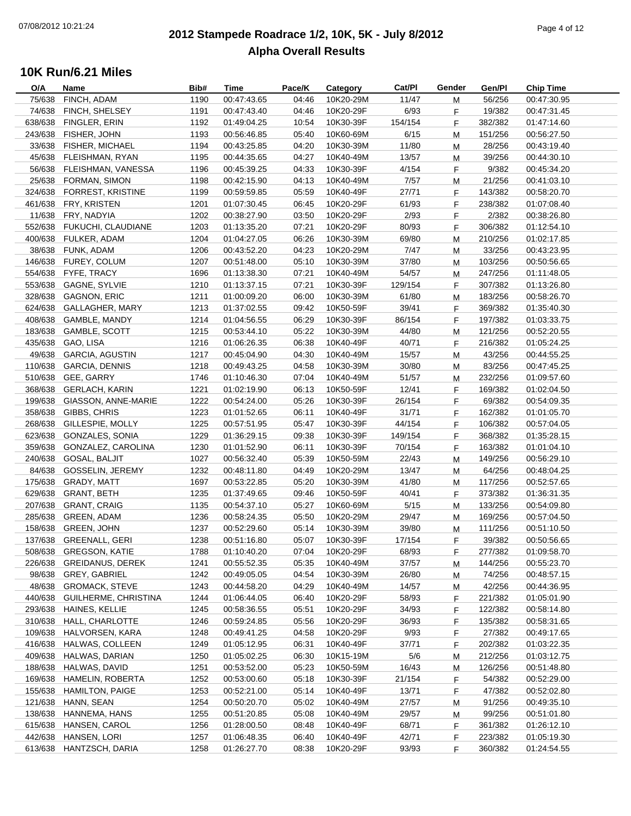### **2012 Stampede Roadrace 1/2, 10K, 5K - July 8/2012**  $P_1$  and  $P_2$  of  $P_3$  of  $P_4$  or  $P_5$  of  $P_5$  or  $P_6$  or  $P_7$  or  $P_8$  or  $P_9$  or  $P_9$  or  $P_9$  or  $P_9$  or  $P_9$  or  $P_9$  or  $P_9$  or  $P_9$  or  $P_9$  or  $P_9$  or  $P_9$  or  $P_9$  or  $P_9$  or  $P_9$  or  $P_9$  or  $P_9$ **Alpha Overall Results**

| O/A     | Name                       | Bib# | Time        | Pace/K | Category  | Cat/PI  | Gender | Gen/Pl  | <b>Chip Time</b> |
|---------|----------------------------|------|-------------|--------|-----------|---------|--------|---------|------------------|
| 75/638  | FINCH, ADAM                | 1190 | 00:47:43.65 | 04:46  | 10K20-29M | 11/47   | М      | 56/256  | 00:47:30.95      |
| 74/638  | FINCH, SHELSEY             | 1191 | 00:47:43.40 | 04:46  | 10K20-29F | 6/93    | F      | 19/382  | 00:47:31.45      |
| 638/638 | FINGLER, ERIN              | 1192 | 01:49:04.25 | 10:54  | 10K30-39F | 154/154 | F      | 382/382 | 01:47:14.60      |
| 243/638 | FISHER, JOHN               | 1193 | 00:56:46.85 | 05:40  | 10K60-69M | 6/15    | M      | 151/256 | 00:56:27.50      |
| 33/638  | FISHER, MICHAEL            | 1194 | 00:43:25.85 | 04:20  | 10K30-39M | 11/80   | M      | 28/256  | 00:43:19.40      |
| 45/638  | FLEISHMAN, RYAN            | 1195 | 00:44:35.65 | 04:27  | 10K40-49M | 13/57   | M      | 39/256  | 00:44:30.10      |
| 56/638  | FLEISHMAN, VANESSA         | 1196 | 00:45:39.25 | 04:33  | 10K30-39F | 4/154   | F      | 9/382   | 00:45:34.20      |
| 25/638  | FORMAN, SIMON              | 1198 | 00:42:15.90 | 04:13  | 10K40-49M | 7/57    | M      | 21/256  | 00:41:03.10      |
| 324/638 | <b>FORREST, KRISTINE</b>   | 1199 | 00:59:59.85 | 05:59  | 10K40-49F | 27/71   | F      | 143/382 | 00:58:20.70      |
| 461/638 | FRY, KRISTEN               | 1201 | 01:07:30.45 | 06:45  | 10K20-29F | 61/93   | F      | 238/382 | 01:07:08.40      |
| 11/638  | FRY, NADYIA                | 1202 | 00:38:27.90 | 03:50  | 10K20-29F | 2/93    | F      | 2/382   | 00:38:26.80      |
|         | 552/638 FUKUCHI, CLAUDIANE | 1203 | 01:13:35.20 | 07:21  | 10K20-29F | 80/93   | F      | 306/382 | 01:12:54.10      |
| 400/638 | FULKER, ADAM               | 1204 | 01:04:27.05 | 06:26  | 10K30-39M | 69/80   | M      | 210/256 | 01:02:17.85      |
|         | 38/638 FUNK, ADAM          | 1206 | 00:43:52.20 | 04:23  | 10K20-29M | 7/47    | M      | 33/256  | 00:43:23.95      |
|         | 146/638 FUREY, COLUM       | 1207 | 00:51:48.00 | 05:10  | 10K30-39M | 37/80   | М      | 103/256 | 00:50:56.65      |
|         | 554/638 FYFE, TRACY        | 1696 | 01:13:38.30 | 07:21  | 10K40-49M | 54/57   | М      | 247/256 | 01:11:48.05      |
| 553/638 | <b>GAGNE, SYLVIE</b>       | 1210 | 01:13:37.15 | 07:21  | 10K30-39F | 129/154 | F      | 307/382 | 01:13:26.80      |
| 328/638 | <b>GAGNON, ERIC</b>        | 1211 | 01:00:09.20 | 06:00  | 10K30-39M | 61/80   | M      | 183/256 | 00:58:26.70      |
| 624/638 | GALLAGHER, MARY            | 1213 | 01:37:02.55 | 09:42  | 10K50-59F | 39/41   | F      | 369/382 | 01:35:40.30      |
| 408/638 | GAMBLE, MANDY              | 1214 | 01:04:56.55 | 06:29  | 10K30-39F | 86/154  | F      | 197/382 | 01:03:33.75      |
| 183/638 | <b>GAMBLE, SCOTT</b>       | 1215 | 00:53:44.10 | 05:22  | 10K30-39M | 44/80   |        | 121/256 | 00:52:20.55      |
|         | GAO, LISA                  |      | 01:06:26.35 |        |           |         | M      |         |                  |
| 435/638 |                            | 1216 |             | 06:38  | 10K40-49F | 40/71   | F      | 216/382 | 01:05:24.25      |
| 49/638  | <b>GARCIA, AGUSTIN</b>     | 1217 | 00:45:04.90 | 04:30  | 10K40-49M | 15/57   | М      | 43/256  | 00:44:55.25      |
| 110/638 | <b>GARCIA, DENNIS</b>      | 1218 | 00:49:43.25 | 04:58  | 10K30-39M | 30/80   | М      | 83/256  | 00:47:45.25      |
| 510/638 | GEE, GARRY                 | 1746 | 01:10:46.30 | 07:04  | 10K40-49M | 51/57   | М      | 232/256 | 01:09:57.60      |
| 368/638 | <b>GERLACH, KARIN</b>      | 1221 | 01:02:19.90 | 06:13  | 10K50-59F | 12/41   | F      | 169/382 | 01:02:04.50      |
| 199/638 | GIASSON, ANNE-MARIE        | 1222 | 00:54:24.00 | 05:26  | 10K30-39F | 26/154  | F      | 69/382  | 00:54:09.35      |
| 358/638 | GIBBS, CHRIS               | 1223 | 01:01:52.65 | 06:11  | 10K40-49F | 31/71   | F      | 162/382 | 01:01:05.70      |
| 268/638 | GILLESPIE, MOLLY           | 1225 | 00:57:51.95 | 05:47  | 10K30-39F | 44/154  | F      | 106/382 | 00:57:04.05      |
| 623/638 | <b>GONZALES, SONIA</b>     | 1229 | 01:36:29.15 | 09:38  | 10K30-39F | 149/154 | F      | 368/382 | 01:35:28.15      |
| 359/638 | GONZALEZ, CAROLINA         | 1230 | 01:01:52.90 | 06:11  | 10K30-39F | 70/154  | F      | 163/382 | 01:01:04.10      |
| 240/638 | GOSAL, BALJIT              | 1027 | 00:56:32.40 | 05:39  | 10K50-59M | 22/43   | М      | 149/256 | 00:56:29.10      |
| 84/638  | GOSSELIN, JEREMY           | 1232 | 00:48:11.80 | 04:49  | 10K20-29M | 13/47   | М      | 64/256  | 00:48:04.25      |
| 175/638 | GRADY, MATT                | 1697 | 00:53:22.85 | 05:20  | 10K30-39M | 41/80   | М      | 117/256 | 00:52:57.65      |
| 629/638 | <b>GRANT, BETH</b>         | 1235 | 01:37:49.65 | 09:46  | 10K50-59F | 40/41   | F      | 373/382 | 01:36:31.35      |
| 207/638 | <b>GRANT, CRAIG</b>        | 1135 | 00:54:37.10 | 05:27  | 10K60-69M | 5/15    | M      | 133/256 | 00:54:09.80      |
| 285/638 | <b>GREEN, ADAM</b>         | 1236 | 00:58:24.35 | 05:50  | 10K20-29M | 29/47   | M      | 169/256 | 00:57:04.50      |
|         | 158/638 GREEN, JOHN        | 1237 | 00:52:29.60 | 05:14  | 10K30-39M | 39/80   | M      | 111/256 | 00:51:10.50      |
|         | 137/638 GREENALL, GERI     | 1238 | 00:51:16.80 | 05:07  | 10K30-39F | 17/154  | F      | 39/382  | 00:50:56.65      |
| 508/638 | <b>GREGSON, KATIE</b>      | 1788 | 01:10:40.20 | 07:04  | 10K20-29F | 68/93   | F      | 277/382 | 01:09:58.70      |
| 226/638 | <b>GREIDANUS, DEREK</b>    | 1241 | 00:55:52.35 | 05:35  | 10K40-49M | 37/57   | M      | 144/256 | 00:55:23.70      |
| 98/638  | <b>GREY, GABRIEL</b>       | 1242 | 00:49:05.05 | 04:54  | 10K30-39M | 26/80   | M      | 74/256  | 00:48:57.15      |
| 48/638  | <b>GROMACK, STEVE</b>      | 1243 | 00:44:58.20 | 04:29  | 10K40-49M | 14/57   | M      | 42/256  | 00:44:36.95      |
| 440/638 | GUILHERME, CHRISTINA       | 1244 | 01:06:44.05 | 06:40  | 10K20-29F | 58/93   | F      | 221/382 | 01:05:01.90      |
| 293/638 | HAINES, KELLIE             | 1245 | 00:58:36.55 | 05:51  | 10K20-29F | 34/93   | F      | 122/382 | 00:58:14.80      |
| 310/638 | HALL, CHARLOTTE            | 1246 | 00:59:24.85 | 05:56  | 10K20-29F | 36/93   | F      | 135/382 | 00:58:31.65      |
| 109/638 | HALVORSEN, KARA            | 1248 | 00:49:41.25 | 04:58  | 10K20-29F | 9/93    | F      | 27/382  | 00:49:17.65      |
| 416/638 | HALWAS, COLLEEN            | 1249 | 01:05:12.95 | 06:31  | 10K40-49F | 37/71   | F      | 202/382 | 01:03:22.35      |
| 409/638 | HALWAS, DARIAN             | 1250 | 01:05:02.25 | 06:30  | 10K15-19M | 5/6     | M      | 212/256 | 01:03:12.75      |
| 188/638 | HALWAS, DAVID              | 1251 | 00:53:52.00 | 05:23  | 10K50-59M | 16/43   | M      | 126/256 | 00:51:48.80      |
| 169/638 | HAMELIN, ROBERTA           | 1252 | 00:53:00.60 | 05:18  | 10K30-39F | 21/154  | F      | 54/382  | 00:52:29.00      |
| 155/638 | <b>HAMILTON, PAIGE</b>     | 1253 | 00:52:21.00 | 05:14  | 10K40-49F | 13/71   | F      | 47/382  | 00:52:02.80      |
| 121/638 | HANN, SEAN                 | 1254 | 00:50:20.70 | 05:02  | 10K40-49M | 27/57   | M      | 91/256  | 00:49:35.10      |
| 138/638 | HANNEMA, HANS              | 1255 | 00:51:20.85 | 05:08  | 10K40-49M | 29/57   | M      | 99/256  | 00:51:01.80      |
| 615/638 | HANSEN, CAROL              | 1256 | 01:28:00.50 | 08:48  | 10K40-49F | 68/71   | F      | 361/382 | 01:26:12.10      |
| 442/638 | HANSEN, LORI               | 1257 | 01:06:48.35 | 06:40  | 10K40-49F | 42/71   | F      | 223/382 | 01:05:19.30      |
| 613/638 | HANTZSCH, DARIA            | 1258 | 01:26:27.70 | 08:38  | 10K20-29F | 93/93   | F      | 360/382 | 01:24:54.55      |
|         |                            |      |             |        |           |         |        |         |                  |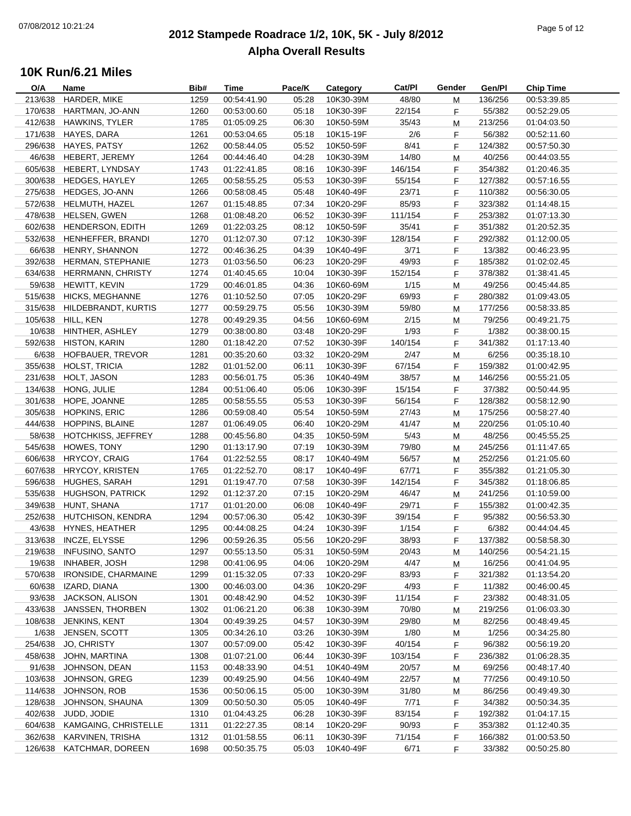### **2012 Stampede Roadrace 1/2, 10K, 5K - July 8/2012**  $\frac{1}{2}$  Page 5 of 12 **Alpha Overall Results**

| O/A     | Name                       | Bib# | Time        | Pace/K | Category  | Cat/PI  | Gender | Gen/Pl  | <b>Chip Time</b> |
|---------|----------------------------|------|-------------|--------|-----------|---------|--------|---------|------------------|
| 213/638 | HARDER, MIKE               | 1259 | 00:54:41.90 | 05:28  | 10K30-39M | 48/80   | М      | 136/256 | 00:53:39.85      |
| 170/638 | HARTMAN, JO-ANN            | 1260 | 00:53:00.60 | 05:18  | 10K30-39F | 22/154  | F      | 55/382  | 00:52:29.05      |
| 412/638 | <b>HAWKINS, TYLER</b>      | 1785 | 01:05:09.25 | 06:30  | 10K50-59M | 35/43   | M      | 213/256 | 01:04:03.50      |
| 171/638 | HAYES, DARA                | 1261 | 00:53:04.65 | 05:18  | 10K15-19F | 2/6     | F      | 56/382  | 00:52:11.60      |
| 296/638 | <b>HAYES, PATSY</b>        | 1262 | 00:58:44.05 | 05:52  | 10K50-59F | 8/41    | F.     | 124/382 | 00:57:50.30      |
| 46/638  | HEBERT, JEREMY             | 1264 | 00:44:46.40 | 04:28  | 10K30-39M | 14/80   | M      | 40/256  | 00:44:03.55      |
| 605/638 | HEBERT, LYNDSAY            | 1743 | 01:22:41.85 | 08:16  | 10K30-39F | 146/154 | F      | 354/382 | 01:20:46.35      |
| 300/638 | <b>HEDGES, HAYLEY</b>      | 1265 | 00:58:55.25 | 05:53  | 10K30-39F | 55/154  | F      | 127/382 | 00:57:16.55      |
| 275/638 | HEDGES, JO-ANN             | 1266 | 00:58:08.45 | 05:48  | 10K40-49F | 23/71   | F      | 110/382 | 00:56:30.05      |
| 572/638 | HELMUTH, HAZEL             | 1267 | 01:15:48.85 | 07:34  | 10K20-29F | 85/93   | F      | 323/382 | 01:14:48.15      |
| 478/638 | HELSEN, GWEN               | 1268 | 01:08:48.20 | 06:52  | 10K30-39F | 111/154 | F      | 253/382 | 01:07:13.30      |
| 602/638 | HENDERSON, EDITH           | 1269 | 01:22:03.25 | 08:12  | 10K50-59F | 35/41   | F      | 351/382 | 01:20:52.35      |
| 532/638 | HENHEFFER, BRANDI          | 1270 | 01:12:07.30 | 07:12  | 10K30-39F | 128/154 | F      | 292/382 | 01:12:00.05      |
| 66/638  | HENRY, SHANNON             | 1272 | 00:46:36.25 | 04:39  | 10K40-49F | 3/71    | F.     | 13/382  | 00:46:23.95      |
| 392/638 | HERMAN, STEPHANIE          | 1273 | 01:03:56.50 | 06:23  | 10K20-29F | 49/93   | F      | 185/382 | 01:02:02.45      |
| 634/638 | HERRMANN, CHRISTY          | 1274 | 01:40:45.65 | 10:04  | 10K30-39F | 152/154 | F      | 378/382 | 01:38:41.45      |
| 59/638  | HEWITT, KEVIN              | 1729 | 00:46:01.85 | 04:36  | 10K60-69M | 1/15    | М      | 49/256  | 00:45:44.85      |
| 515/638 | <b>HICKS, MEGHANNE</b>     | 1276 | 01:10:52.50 | 07:05  | 10K20-29F | 69/93   | F      | 280/382 | 01:09:43.05      |
| 315/638 | HILDEBRANDT, KURTIS        | 1277 | 00:59:29.75 | 05:56  | 10K30-39M | 59/80   | M      | 177/256 | 00:58:33.85      |
| 105/638 | HILL, KEN                  | 1278 | 00:49:29.35 | 04:56  | 10K60-69M | 2/15    | M      | 79/256  | 00:49:21.75      |
| 10/638  | HINTHER, ASHLEY            | 1279 | 00:38:00.80 | 03:48  | 10K20-29F | 1/93    | F      | 1/382   | 00:38:00.15      |
| 592/638 | <b>HISTON, KARIN</b>       | 1280 | 01:18:42.20 | 07:52  | 10K30-39F | 140/154 | F      | 341/382 | 01:17:13.40      |
| 6/638   | HOFBAUER, TREVOR           | 1281 | 00:35:20.60 | 03:32  | 10K20-29M | 2/47    |        | 6/256   | 00:35:18.10      |
| 355/638 | HOLST, TRICIA              | 1282 | 01:01:52.00 | 06:11  | 10K30-39F | 67/154  | M      | 159/382 | 01:00:42.95      |
|         |                            |      |             |        |           |         | F      |         |                  |
| 231/638 | HOLT, JASON                | 1283 | 00:56:01.75 | 05:36  | 10K40-49M | 38/57   | М      | 146/256 | 00:55:21.05      |
| 134/638 | HONG, JULIE                | 1284 | 00:51:06.40 | 05:06  | 10K30-39F | 15/154  | F      | 37/382  | 00:50:44.95      |
| 301/638 | HOPE, JOANNE               | 1285 | 00:58:55.55 | 05:53  | 10K30-39F | 56/154  | F      | 128/382 | 00:58:12.90      |
| 305/638 | <b>HOPKINS, ERIC</b>       | 1286 | 00:59:08.40 | 05:54  | 10K50-59M | 27/43   | M      | 175/256 | 00:58:27.40      |
| 444/638 | <b>HOPPINS, BLAINE</b>     | 1287 | 01:06:49.05 | 06:40  | 10K20-29M | 41/47   | M      | 220/256 | 01:05:10.40      |
| 58/638  | HOTCHKISS, JEFFREY         | 1288 | 00:45:56.80 | 04:35  | 10K50-59M | 5/43    | M      | 48/256  | 00:45:55.25      |
| 545/638 | HOWES, TONY                | 1290 | 01:13:17.90 | 07:19  | 10K30-39M | 79/80   | М      | 245/256 | 01:11:47.65      |
| 606/638 | HRYCOY, CRAIG              | 1764 | 01:22:52.55 | 08:17  | 10K40-49M | 56/57   | М      | 252/256 | 01:21:05.60      |
| 607/638 | <b>HRYCOY, KRISTEN</b>     | 1765 | 01:22:52.70 | 08:17  | 10K40-49F | 67/71   | F      | 355/382 | 01:21:05.30      |
| 596/638 | <b>HUGHES, SARAH</b>       | 1291 | 01:19:47.70 | 07:58  | 10K30-39F | 142/154 | F      | 345/382 | 01:18:06.85      |
| 535/638 | <b>HUGHSON, PATRICK</b>    | 1292 | 01:12:37.20 | 07:15  | 10K20-29M | 46/47   | M      | 241/256 | 01:10:59.00      |
| 349/638 | HUNT, SHANA                | 1717 | 01:01:20.00 | 06:08  | 10K40-49F | 29/71   | F      | 155/382 | 01:00:42.35      |
| 252/638 | HUTCHISON, KENDRA          | 1294 | 00:57:06.30 | 05:42  | 10K30-39F | 39/154  | F.     | 95/382  | 00:56:53.30      |
| 43/638  | <b>HYNES, HEATHER</b>      | 1295 | 00:44:08.25 | 04:24  | 10K30-39F | 1/154   | F      | 6/382   | 00:44:04.45      |
|         | 313/638 INCZE, ELYSSE      | 1296 | 00:59:26.35 | 05:56  | 10K20-29F | 38/93   | F      | 137/382 | 00:58:58.30      |
| 219/638 | <b>INFUSINO, SANTO</b>     | 1297 | 00:55:13.50 | 05:31  | 10K50-59M | 20/43   | M      | 140/256 | 00:54:21.15      |
| 19/638  | <b>INHABER, JOSH</b>       | 1298 | 00:41:06.95 | 04:06  | 10K20-29M | 4/47    | M      | 16/256  | 00:41:04.95      |
| 570/638 | <b>IRONSIDE, CHARMAINE</b> | 1299 | 01:15:32.05 | 07:33  | 10K20-29F | 83/93   | F      | 321/382 | 01:13:54.20      |
| 60/638  | IZARD, DIANA               | 1300 | 00:46:03.00 | 04:36  | 10K20-29F | 4/93    | F      | 11/382  | 00:46:00.45      |
| 93/638  | <b>JACKSON, ALISON</b>     | 1301 | 00:48:42.90 | 04:52  | 10K30-39F | 11/154  | F      | 23/382  | 00:48:31.05      |
| 433/638 | JANSSEN, THORBEN           | 1302 | 01:06:21.20 | 06:38  | 10K30-39M | 70/80   | M      | 219/256 | 01:06:03.30      |
| 108/638 | JENKINS, KENT              | 1304 | 00:49:39.25 | 04:57  | 10K30-39M | 29/80   | M      | 82/256  | 00:48:49.45      |
| 1/638   | JENSEN, SCOTT              | 1305 | 00:34:26.10 | 03:26  | 10K30-39M | 1/80    | M      | 1/256   | 00:34:25.80      |
| 254/638 | JO, CHRISTY                | 1307 | 00:57:09.00 | 05:42  | 10K30-39F | 40/154  | F.     | 96/382  | 00:56:19.20      |
| 458/638 | JOHN, MARTINA              | 1308 | 01:07:21.00 | 06:44  | 10K30-39F | 103/154 | F      | 236/382 | 01:06:28.35      |
| 91/638  | JOHNSON, DEAN              | 1153 | 00:48:33.90 | 04:51  | 10K40-49M | 20/57   | M      | 69/256  | 00:48:17.40      |
| 103/638 | JOHNSON, GREG              | 1239 | 00:49:25.90 | 04:56  | 10K40-49M | 22/57   | M      | 77/256  | 00:49:10.50      |
| 114/638 | JOHNSON, ROB               | 1536 | 00:50:06.15 | 05:00  | 10K30-39M | 31/80   | M      | 86/256  | 00:49:49.30      |
| 128/638 | JOHNSON, SHAUNA            | 1309 | 00:50:50.30 | 05:05  | 10K40-49F | 7/71    | F      | 34/382  | 00:50:34.35      |
| 402/638 | JUDD, JODIE                | 1310 | 01:04:43.25 | 06:28  | 10K30-39F | 83/154  | F      | 192/382 | 01:04:17.15      |
| 604/638 | KAMGAING, CHRISTELLE       | 1311 | 01:22:27.35 | 08:14  | 10K20-29F | 90/93   | F      | 353/382 | 01:12:40.35      |
| 362/638 | KARVINEN, TRISHA           | 1312 | 01:01:58.55 | 06:11  | 10K30-39F | 71/154  | F      | 166/382 | 01:00:53.50      |
| 126/638 | KATCHMAR, DOREEN           | 1698 | 00:50:35.75 | 05:03  | 10K40-49F | 6/71    | F.     | 33/382  | 00:50:25.80      |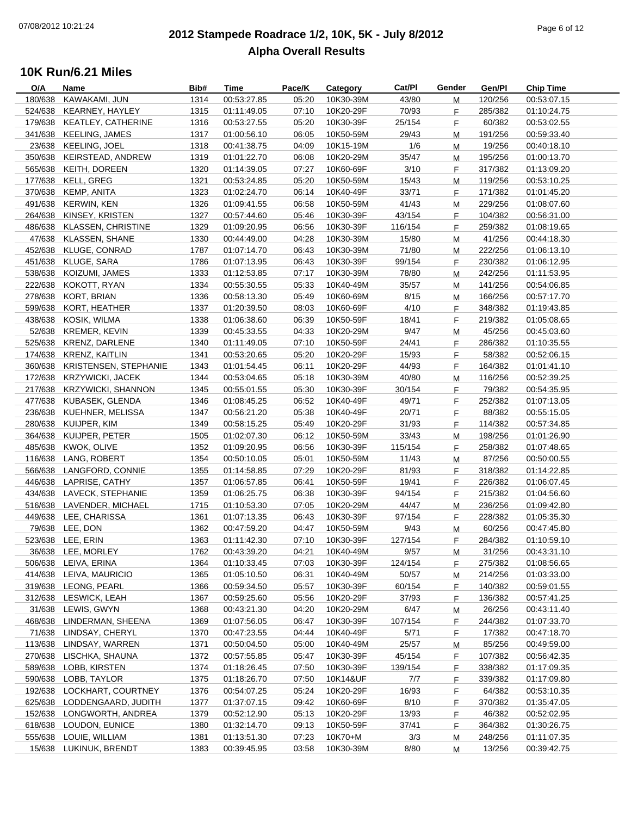### **2012 Stampede Roadrace 1/2, 10K, 5K - July 8/2012**  $P_1$  and  $P_2$  of  $P_3$  of  $P_4$  of  $P_5$  of  $P_6$  of  $P_7$  of  $P_8$  of  $P_7$  of  $P_8$  of  $P_9$  of  $P_9$  of  $P_9$  of  $P_9$  of  $P_9$  of  $P_9$  of  $P_9$  of  $P_9$  of  $P_9$  of  $P_9$  of  $P_9$  of  $P_9$  of  $P_9$  of  $P_9$  of  $P_9$ **Alpha Overall Results**

| O/A     | Name                      | Bib# | Time        | Pace/K | Category  | Cat/Pl  | Gender | Gen/Pl  | <b>Chip Time</b> |
|---------|---------------------------|------|-------------|--------|-----------|---------|--------|---------|------------------|
| 180/638 | KAWAKAMI, JUN             | 1314 | 00:53:27.85 | 05:20  | 10K30-39M | 43/80   | М      | 120/256 | 00:53:07.15      |
| 524/638 | KEARNEY, HAYLEY           | 1315 | 01:11:49.05 | 07:10  | 10K20-29F | 70/93   | F      | 285/382 | 01:10:24.75      |
| 179/638 | KEATLEY, CATHERINE        | 1316 | 00:53:27.55 | 05:20  | 10K30-39F | 25/154  | F      | 60/382  | 00:53:02.55      |
| 341/638 | <b>KEELING, JAMES</b>     | 1317 | 01:00:56.10 | 06:05  | 10K50-59M | 29/43   | M      | 191/256 | 00:59:33.40      |
| 23/638  | KEELING, JOEL             | 1318 | 00:41:38.75 | 04:09  | 10K15-19M | 1/6     | M      | 19/256  | 00:40:18.10      |
| 350/638 | KEIRSTEAD, ANDREW         | 1319 | 01:01:22.70 | 06:08  | 10K20-29M | 35/47   | М      | 195/256 | 01:00:13.70      |
| 565/638 | KEITH, DOREEN             | 1320 | 01:14:39.05 | 07:27  | 10K60-69F | 3/10    | F      | 317/382 | 01:13:09.20      |
| 177/638 | KELL, GREG                | 1321 | 00:53:24.85 | 05:20  | 10K50-59M | 15/43   | М      | 119/256 | 00:53:10.25      |
| 370/638 | KEMP, ANITA               | 1323 | 01:02:24.70 | 06:14  | 10K40-49F | 33/71   | F      | 171/382 | 01:01:45.20      |
| 491/638 | <b>KERWIN, KEN</b>        | 1326 | 01:09:41.55 | 06:58  | 10K50-59M | 41/43   | M      | 229/256 | 01:08:07.60      |
| 264/638 | KINSEY, KRISTEN           | 1327 | 00:57:44.60 | 05:46  | 10K30-39F | 43/154  | F      | 104/382 | 00:56:31.00      |
| 486/638 | <b>KLASSEN, CHRISTINE</b> | 1329 | 01:09:20.95 | 06:56  | 10K30-39F | 116/154 | F      | 259/382 | 01:08:19.65      |
| 47/638  | <b>KLASSEN, SHANE</b>     | 1330 | 00:44:49.00 | 04:28  | 10K30-39M | 15/80   | M      | 41/256  | 00:44:18.30      |
| 452/638 | KLUGE, CONRAD             | 1787 | 01:07:14.70 | 06:43  | 10K30-39M | 71/80   |        |         |                  |
|         |                           |      |             |        |           |         | М      | 222/256 | 01:06:13.10      |
| 451/638 | KLUGE, SARA               | 1786 | 01:07:13.95 | 06:43  | 10K30-39F | 99/154  | F      | 230/382 | 01:06:12.95      |
| 538/638 | KOIZUMI, JAMES            | 1333 | 01:12:53.85 | 07:17  | 10K30-39M | 78/80   | М      | 242/256 | 01:11:53.95      |
| 222/638 | KOKOTT, RYAN              | 1334 | 00:55:30.55 | 05:33  | 10K40-49M | 35/57   | М      | 141/256 | 00:54:06.85      |
| 278/638 | KORT, BRIAN               | 1336 | 00:58:13.30 | 05:49  | 10K60-69M | 8/15    | М      | 166/256 | 00:57:17.70      |
| 599/638 | KORT, HEATHER             | 1337 | 01:20:39.50 | 08:03  | 10K60-69F | 4/10    | F      | 348/382 | 01:19:43.85      |
| 438/638 | KOSIK, WILMA              | 1338 | 01:06:38.60 | 06:39  | 10K50-59F | 18/41   | F      | 219/382 | 01:05:08.65      |
| 52/638  | <b>KREMER, KEVIN</b>      | 1339 | 00:45:33.55 | 04:33  | 10K20-29M | 9/47    | M      | 45/256  | 00:45:03.60      |
| 525/638 | <b>KRENZ, DARLENE</b>     | 1340 | 01:11:49.05 | 07:10  | 10K50-59F | 24/41   | F      | 286/382 | 01:10:35.55      |
| 174/638 | <b>KRENZ, KAITLIN</b>     | 1341 | 00:53:20.65 | 05:20  | 10K20-29F | 15/93   | F.     | 58/382  | 00:52:06.15      |
| 360/638 | KRISTENSEN, STEPHANIE     | 1343 | 01:01:54.45 | 06:11  | 10K20-29F | 44/93   | F      | 164/382 | 01:01:41.10      |
| 172/638 | <b>KRZYWICKI, JACEK</b>   | 1344 | 00:53:04.65 | 05:18  | 10K30-39M | 40/80   | М      | 116/256 | 00:52:39.25      |
| 217/638 | <b>KRZYWICKI, SHANNON</b> | 1345 | 00:55:01.55 | 05:30  | 10K30-39F | 30/154  | F      | 79/382  | 00:54:35.95      |
| 477/638 | KUBASEK, GLENDA           | 1346 | 01:08:45.25 | 06:52  | 10K40-49F | 49/71   | F      | 252/382 | 01:07:13.05      |
| 236/638 | KUEHNER, MELISSA          | 1347 | 00:56:21.20 | 05:38  | 10K40-49F | 20/71   | F      | 88/382  | 00:55:15.05      |
| 280/638 | KUIJPER, KIM              | 1349 | 00:58:15.25 | 05:49  | 10K20-29F | 31/93   | F.     | 114/382 | 00:57:34.85      |
| 364/638 | KUIJPER, PETER            | 1505 | 01:02:07.30 | 06:12  | 10K50-59M | 33/43   | М      | 198/256 | 01:01:26.90      |
| 485/638 | KWOK, OLIVE               | 1352 | 01:09:20.95 | 06:56  | 10K30-39F | 115/154 | F      | 258/382 | 01:07:48.65      |
| 116/638 | LANG, ROBERT              | 1354 | 00:50:10.05 | 05:01  | 10K50-59M | 11/43   | м      | 87/256  | 00:50:00.55      |
| 566/638 | LANGFORD, CONNIE          | 1355 | 01:14:58.85 | 07:29  | 10K20-29F | 81/93   | F      | 318/382 | 01:14:22.85      |
| 446/638 | LAPRISE, CATHY            | 1357 | 01:06:57.85 | 06:41  | 10K50-59F | 19/41   | F      | 226/382 | 01:06:07.45      |
| 434/638 | LAVECK, STEPHANIE         | 1359 | 01:06:25.75 | 06:38  | 10K30-39F | 94/154  | F      | 215/382 | 01:04:56.60      |
| 516/638 | LAVENDER, MICHAEL         | 1715 | 01:10:53.30 | 07:05  | 10K20-29M | 44/47   | M      | 236/256 | 01:09:42.80      |
| 449/638 | LEE, CHARISSA             | 1361 | 01:07:13.35 | 06:43  | 10K30-39F | 97/154  | F      | 228/382 | 01:05:35.30      |
|         | 79/638 LEE, DON           | 1362 | 00:47:59.20 | 04:47  | 10K50-59M | 9/43    | M      | 60/256  | 00:47:45.80      |
|         | 523/638 LEE, ERIN         | 1363 | 01:11:42.30 | 07:10  | 10K30-39F | 127/154 | F      | 284/382 | 01:10:59.10      |
|         | 36/638 LEE, MORLEY        | 1762 | 00:43:39.20 | 04:21  | 10K40-49M | 9/57    | M      | 31/256  | 00:43:31.10      |
| 506/638 | LEIVA, ERINA              | 1364 | 01:10:33.45 | 07:03  | 10K30-39F | 124/154 | F.     | 275/382 | 01:08:56.65      |
| 414/638 | LEIVA, MAURICIO           | 1365 | 01:05:10.50 | 06:31  | 10K40-49M | 50/57   | M      | 214/256 | 01:03:33.00      |
| 319/638 | LEONG, PEARL              | 1366 | 00:59:34.50 | 05:57  | 10K30-39F | 60/154  | F      | 140/382 | 00:59:01.55      |
| 312/638 |                           |      |             |        | 10K20-29F | 37/93   |        | 136/382 |                  |
|         | LESWICK, LEAH             | 1367 | 00:59:25.60 | 05:56  |           |         | F      |         | 00:57:41.25      |
| 31/638  | LEWIS, GWYN               | 1368 | 00:43:21.30 | 04:20  | 10K20-29M | 6/47    | M      | 26/256  | 00:43:11.40      |
| 468/638 | LINDERMAN, SHEENA         | 1369 | 01:07:56.05 | 06:47  | 10K30-39F | 107/154 | F      | 244/382 | 01:07:33.70      |
| 71/638  | LINDSAY, CHERYL           | 1370 | 00:47:23.55 | 04:44  | 10K40-49F | 5/71    | F      | 17/382  | 00:47:18.70      |
| 113/638 | LINDSAY, WARREN           | 1371 | 00:50:04.50 | 05:00  | 10K40-49M | 25/57   | M      | 85/256  | 00:49:59.00      |
| 270/638 | LISCHKA, SHAUNA           | 1372 | 00:57:55.85 | 05:47  | 10K30-39F | 45/154  | F.     | 107/382 | 00:56:42.35      |
| 589/638 | LOBB, KIRSTEN             | 1374 | 01:18:26.45 | 07:50  | 10K30-39F | 139/154 | F      | 338/382 | 01:17:09.35      |
| 590/638 | LOBB, TAYLOR              | 1375 | 01:18:26.70 | 07:50  | 10K14&UF  | 7/7     | F      | 339/382 | 01:17:09.80      |
| 192/638 | LOCKHART, COURTNEY        | 1376 | 00:54:07.25 | 05:24  | 10K20-29F | 16/93   | F      | 64/382  | 00:53:10.35      |
| 625/638 | LODDENGAARD, JUDITH       | 1377 | 01:37:07.15 | 09:42  | 10K60-69F | 8/10    | F      | 370/382 | 01:35:47.05      |
| 152/638 | LONGWORTH, ANDREA         | 1379 | 00:52:12.90 | 05:13  | 10K20-29F | 13/93   | F      | 46/382  | 00:52:02.95      |
| 618/638 | LOUDON, EUNICE            | 1380 | 01:32:14.70 | 09:13  | 10K50-59F | 37/41   | F      | 364/382 | 01:30:26.75      |
| 555/638 | LOUIE, WILLIAM            | 1381 | 01:13:51.30 | 07:23  | 10K70+M   | 3/3     | M      | 248/256 | 01:11:07.35      |
| 15/638  | LUKINUK, BRENDT           | 1383 | 00:39:45.95 | 03:58  | 10K30-39M | 8/80    | M      | 13/256  | 00:39:42.75      |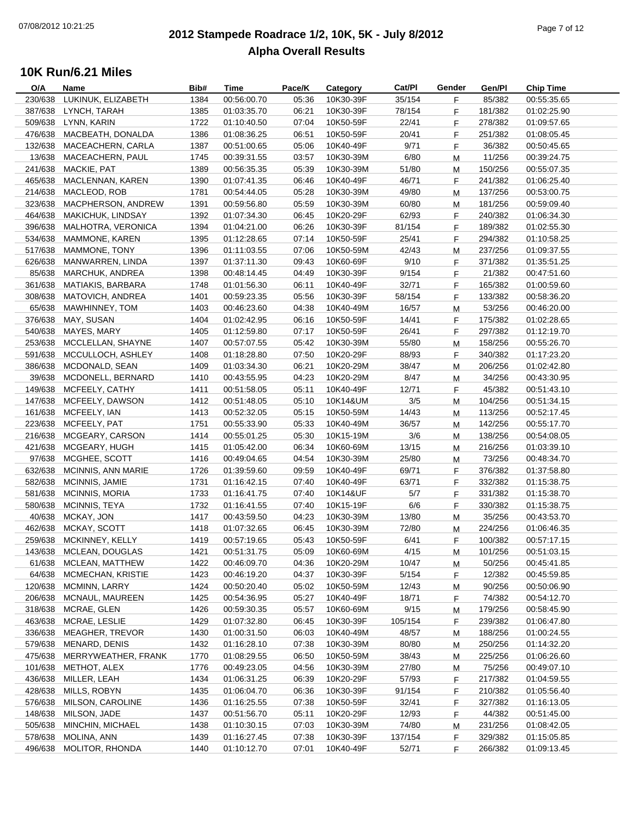### **2012 Stampede Roadrace 1/2, 10K, 5K - July 8/2012**  $P_1$  of  $P_2$  of  $P_3$  of  $P_4$  of  $P_5$  of  $P_5$  of  $P_6$  of  $P_7$  of  $P_8$  of  $P_7$  of  $P_8$  of  $P_9$  of  $P_9$  of  $P_9$  of  $P_9$  of  $P_9$  of  $P_9$  of  $P_9$  of  $P_9$  of  $P_9$  of  $P_9$  of  $P_9$  of  $P_9$  of  $P_9$  of  $P_9$ **Alpha Overall Results**

| O/A     | Name                   | Bib# | Time        | Pace/K | Category               | Cat/PI  | Gender    | Gen/Pl  | <b>Chip Time</b> |
|---------|------------------------|------|-------------|--------|------------------------|---------|-----------|---------|------------------|
| 230/638 | LUKINUK, ELIZABETH     | 1384 | 00:56:00.70 | 05:36  | 10K30-39F              | 35/154  | F.        | 85/382  | 00:55:35.65      |
| 387/638 | LYNCH, TARAH           | 1385 | 01:03:35.70 | 06:21  | 10K30-39F              | 78/154  | F         | 181/382 | 01:02:25.90      |
| 509/638 | LYNN, KARIN            | 1722 | 01:10:40.50 | 07:04  | 10K50-59F              | 22/41   | F         | 278/382 | 01:09:57.65      |
| 476/638 | MACBEATH, DONALDA      | 1386 | 01:08:36.25 | 06:51  | 10K50-59F              | 20/41   | F.        | 251/382 | 01:08:05.45      |
| 132/638 | MACEACHERN, CARLA      | 1387 | 00:51:00.65 | 05:06  | 10K40-49F              | 9/71    | F.        | 36/382  | 00:50:45.65      |
| 13/638  | MACEACHERN, PAUL       | 1745 | 00:39:31.55 | 03:57  | 10K30-39M              | 6/80    | м         | 11/256  | 00:39:24.75      |
| 241/638 | MACKIE, PAT            | 1389 | 00:56:35.35 | 05:39  | 10K30-39M              | 51/80   | M         | 150/256 | 00:55:07.35      |
| 465/638 | MACLENNAN, KAREN       | 1390 | 01:07:41.35 | 06:46  | 10K40-49F              | 46/71   | F.        | 241/382 | 01:06:25.40      |
| 214/638 | MACLEOD, ROB           | 1781 | 00:54:44.05 | 05:28  | 10K30-39M              | 49/80   | M         | 137/256 | 00:53:00.75      |
| 323/638 | MACPHERSON, ANDREW     | 1391 | 00:59:56.80 | 05:59  | 10K30-39M              | 60/80   | M         | 181/256 | 00:59:09.40      |
| 464/638 | MAKICHUK, LINDSAY      | 1392 | 01:07:34.30 | 06:45  | 10K20-29F              | 62/93   | F         | 240/382 | 01:06:34.30      |
| 396/638 | MALHOTRA, VERONICA     | 1394 | 01:04:21.00 | 06:26  | 10K30-39F              | 81/154  | F.        | 189/382 | 01:02:55.30      |
| 534/638 | MAMMONE, KAREN         | 1395 | 01:12:28.65 | 07:14  | 10K50-59F              | 25/41   | F.        | 294/382 | 01:10:58.25      |
| 517/638 | MAMMONE, TONY          | 1396 | 01:11:03.55 | 07:06  | 10K50-59M              | 42/43   |           | 237/256 | 01:09:37.55      |
|         |                        |      |             |        |                        |         | м         |         |                  |
| 626/638 | MANWARREN, LINDA       | 1397 | 01:37:11.30 | 09:43  | 10K60-69F              | 9/10    | F.        | 371/382 | 01:35:51.25      |
| 85/638  | MARCHUK, ANDREA        | 1398 | 00:48:14.45 | 04:49  | 10K30-39F              | 9/154   | F         | 21/382  | 00:47:51.60      |
| 361/638 | MATIAKIS, BARBARA      | 1748 | 01:01:56.30 | 06:11  | 10K40-49F              | 32/71   | F.        | 165/382 | 01:00:59.60      |
| 308/638 | MATOVICH, ANDREA       | 1401 | 00:59:23.35 | 05:56  | 10K30-39F              | 58/154  | F         | 133/382 | 00:58:36.20      |
| 65/638  | MAWHINNEY, TOM         | 1403 | 00:46:23.60 | 04:38  | 10K40-49M              | 16/57   | M         | 53/256  | 00:46:20.00      |
| 376/638 | MAY, SUSAN             | 1404 | 01:02:42.95 | 06:16  | 10K50-59F              | 14/41   | F.        | 175/382 | 01:02:28.65      |
| 540/638 | MAYES, MARY            | 1405 | 01:12:59.80 | 07:17  | 10K50-59F              | 26/41   | F.        | 297/382 | 01:12:19.70      |
| 253/638 | MCCLELLAN, SHAYNE      | 1407 | 00:57:07.55 | 05:42  | 10K30-39M              | 55/80   | М         | 158/256 | 00:55:26.70      |
| 591/638 | MCCULLOCH, ASHLEY      | 1408 | 01:18:28.80 | 07:50  | 10K20-29F              | 88/93   | F         | 340/382 | 01:17:23.20      |
| 386/638 | MCDONALD, SEAN         | 1409 | 01:03:34.30 | 06:21  | 10K20-29M              | 38/47   | M         | 206/256 | 01:02:42.80      |
| 39/638  | MCDONELL, BERNARD      | 1410 | 00:43:55.95 | 04:23  | 10K20-29M              | 8/47    | M         | 34/256  | 00:43:30.95      |
| 149/638 | MCFEELY, CATHY         | 1411 | 00:51:58.05 | 05:11  | 10K40-49F              | 12/71   | F.        | 45/382  | 00:51:43.10      |
| 147/638 | MCFEELY, DAWSON        | 1412 | 00:51:48.05 | 05:10  | 10K14&UM               | 3/5     | ${\sf M}$ | 104/256 | 00:51:34.15      |
| 161/638 | MCFEELY, IAN           | 1413 | 00:52:32.05 | 05:15  | 10K50-59M              | 14/43   | М         | 113/256 | 00:52:17.45      |
| 223/638 | MCFEELY, PAT           | 1751 | 00:55:33.90 | 05:33  | 10K40-49M              | 36/57   | M         | 142/256 | 00:55:17.70      |
| 216/638 | MCGEARY, CARSON        | 1414 | 00:55:01.25 | 05:30  | 10K15-19M              | 3/6     | м         | 138/256 | 00:54:08.05      |
| 421/638 | MCGEARY, HUGH          | 1415 | 01:05:42.00 | 06:34  | 10K60-69M              | 13/15   | м         | 216/256 | 01:03:39.10      |
| 97/638  | MCGHEE, SCOTT          | 1416 | 00:49:04.65 | 04:54  | 10K30-39M              | 25/80   | M         | 73/256  | 00:48:34.70      |
| 632/638 | MCINNIS, ANN MARIE     | 1726 | 01:39:59.60 | 09:59  | 10K40-49F              | 69/71   | F.        | 376/382 | 01:37:58.80      |
| 582/638 | MCINNIS, JAMIE         | 1731 | 01:16:42.15 | 07:40  | 10K40-49F              | 63/71   | F.        | 332/382 | 01:15:38.75      |
| 581/638 | <b>MCINNIS, MORIA</b>  | 1733 | 01:16:41.75 | 07:40  | 10K14&UF               | 5/7     | F         | 331/382 | 01:15:38.70      |
| 580/638 | MCINNIS, TEYA          | 1732 | 01:16:41.55 | 07:40  | 10K15-19F              | 6/6     | F.        | 330/382 | 01:15:38.75      |
| 40/638  | MCKAY, JON             | 1417 | 00:43:59.50 | 04:23  | 10K30-39M              | 13/80   | M         | 35/256  | 00:43:53.70      |
| 462/638 | MCKAY, SCOTT           | 1418 | 01:07:32.65 | 06:45  | 10K30-39M              | 72/80   | M         | 224/256 | 01:06:46.35      |
| 259/638 | MCKINNEY, KELLY        | 1419 | 00:57:19.65 | 05:43  | 10K50-59F              | 6/41    | F         | 100/382 | 00:57:17.15      |
| 143/638 | MCLEAN, DOUGLAS        | 1421 | 00:51:31.75 | 05:09  | 10K60-69M              | 4/15    | M         | 101/256 | 00:51:03.15      |
| 61/638  | MCLEAN, MATTHEW        | 1422 | 00:46:09.70 | 04:36  | 10K20-29M              | 10/47   | M         | 50/256  | 00:45:41.85      |
| 64/638  | MCMECHAN, KRISTIE      | 1423 | 00:46:19.20 | 04:37  | 10K30-39F              | 5/154   | F.        | 12/382  | 00:45:59.85      |
| 120/638 | MCMINN, LARRY          | 1424 | 00:50:20.40 | 05:02  | 10K50-59M              | 12/43   |           | 90/256  | 00:50:06.90      |
| 206/638 | MCNAUL, MAUREEN        | 1425 | 00:54:36.95 | 05:27  |                        |         | M         | 74/382  | 00:54:12.70      |
|         | MCRAE, GLEN            |      |             |        | 10K40-49F<br>10K60-69M | 18/71   | F         |         |                  |
| 318/638 |                        | 1426 | 00:59:30.35 | 05:57  |                        | 9/15    | M         | 179/256 | 00:58:45.90      |
| 463/638 | MCRAE, LESLIE          | 1429 | 01:07:32.80 | 06:45  | 10K30-39F              | 105/154 | F         | 239/382 | 01:06:47.80      |
| 336/638 | <b>MEAGHER, TREVOR</b> | 1430 | 01:00:31.50 | 06:03  | 10K40-49M              | 48/57   | M         | 188/256 | 01:00:24.55      |
| 579/638 | MENARD, DENIS          | 1432 | 01:16:28.10 | 07:38  | 10K30-39M              | 80/80   | M         | 250/256 | 01:14:32.20      |
| 475/638 | MERRYWEATHER, FRANK    | 1770 | 01:08:29.55 | 06:50  | 10K50-59M              | 38/43   | M         | 225/256 | 01:06:26.60      |
| 101/638 | METHOT, ALEX           | 1776 | 00:49:23.05 | 04:56  | 10K30-39M              | 27/80   | M         | 75/256  | 00:49:07.10      |
| 436/638 | MILLER, LEAH           | 1434 | 01:06:31.25 | 06:39  | 10K20-29F              | 57/93   | F         | 217/382 | 01:04:59.55      |
| 428/638 | MILLS, ROBYN           | 1435 | 01:06:04.70 | 06:36  | 10K30-39F              | 91/154  | F         | 210/382 | 01:05:56.40      |
| 576/638 | MILSON, CAROLINE       | 1436 | 01:16:25.55 | 07:38  | 10K50-59F              | 32/41   | F         | 327/382 | 01:16:13.05      |
| 148/638 | MILSON, JADE           | 1437 | 00:51:56.70 | 05:11  | 10K20-29F              | 12/93   | F         | 44/382  | 00:51:45.00      |
| 505/638 | MINCHIN, MICHAEL       | 1438 | 01:10:30.15 | 07:03  | 10K30-39M              | 74/80   | M         | 231/256 | 01:08:42.05      |
| 578/638 | MOLINA, ANN            | 1439 | 01:16:27.45 | 07:38  | 10K30-39F              | 137/154 | F.        | 329/382 | 01:15:05.85      |
| 496/638 | MOLITOR, RHONDA        | 1440 | 01:10:12.70 | 07:01  | 10K40-49F              | 52/71   | F         | 266/382 | 01:09:13.45      |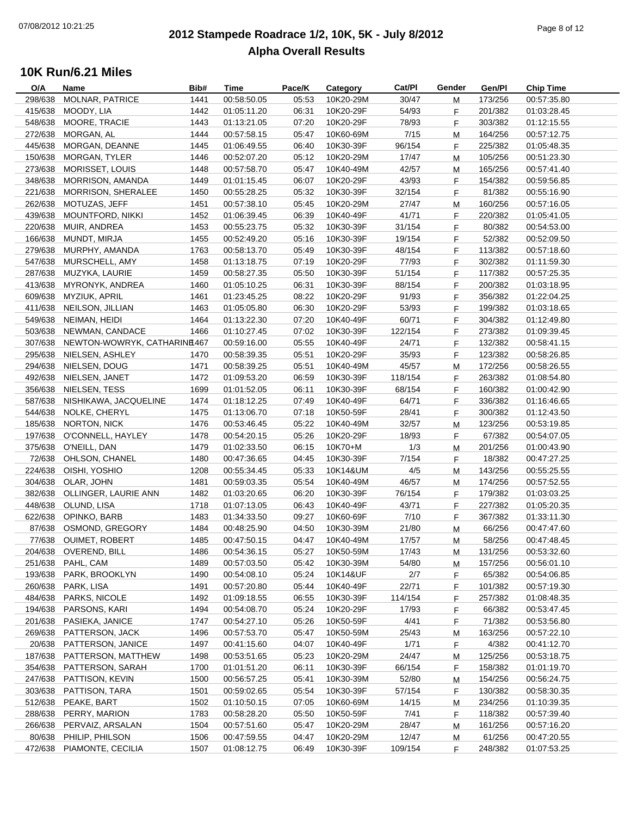### **2012 Stampede Roadrace 1/2, 10K, 5K - July 8/2012**  $P_1$  and  $P_2$  of  $P_3$  of  $P_4$  or  $P_5$  of  $P_6$  or  $P_7$  or  $P_8$  or  $P_9$  or  $P_9$  or  $P_9$  or  $P_9$  or  $P_9$  or  $P_9$  or  $P_9$  or  $P_9$  or  $P_9$  or  $P_9$  or  $P_9$  or  $P_9$  or  $P_9$  or  $P_9$  or  $P_9$  or  $P_9$  or  $P_9$ **Alpha Overall Results**

| O/A     | Name                        | Bib# | Time        | Pace/K | Category  | Cat/PI  | Gender | Gen/Pl  | <b>Chip Time</b> |
|---------|-----------------------------|------|-------------|--------|-----------|---------|--------|---------|------------------|
| 298/638 | MOLNAR, PATRICE             | 1441 | 00:58:50.05 | 05:53  | 10K20-29M | 30/47   | М      | 173/256 | 00:57:35.80      |
| 415/638 | MOODY, LIA                  | 1442 | 01:05:11.20 | 06:31  | 10K20-29F | 54/93   | F      | 201/382 | 01:03:28.45      |
| 548/638 | MOORE, TRACIE               | 1443 | 01:13:21.05 | 07:20  | 10K20-29F | 78/93   | F      | 303/382 | 01:12:15.55      |
| 272/638 | MORGAN, AL                  | 1444 | 00:57:58.15 | 05:47  | 10K60-69M | 7/15    | M      | 164/256 | 00:57:12.75      |
| 445/638 | MORGAN, DEANNE              | 1445 | 01:06:49.55 | 06:40  | 10K30-39F | 96/154  | F.     | 225/382 | 01:05:48.35      |
| 150/638 | MORGAN, TYLER               | 1446 | 00:52:07.20 | 05:12  | 10K20-29M | 17/47   | М      | 105/256 | 00:51:23.30      |
| 273/638 | MORISSET, LOUIS             | 1448 | 00:57:58.70 | 05:47  | 10K40-49M | 42/57   | М      | 165/256 | 00:57:41.40      |
| 348/638 | MORRISON, AMANDA            | 1449 | 01:01:15.45 | 06:07  | 10K20-29F | 43/93   | F      | 154/382 | 00:59:56.85      |
| 221/638 | MORRISON, SHERALEE          | 1450 | 00:55:28.25 | 05:32  | 10K30-39F | 32/154  | F      | 81/382  | 00:55:16.90      |
| 262/638 | MOTUZAS, JEFF               | 1451 | 00:57:38.10 | 05:45  | 10K20-29M | 27/47   | M      | 160/256 | 00:57:16.05      |
| 439/638 | <b>MOUNTFORD, NIKKI</b>     | 1452 | 01:06:39.45 | 06:39  | 10K40-49F | 41/71   | F      | 220/382 | 01:05:41.05      |
| 220/638 | MUIR, ANDREA                | 1453 | 00:55:23.75 | 05:32  | 10K30-39F | 31/154  | F      | 80/382  | 00:54:53.00      |
| 166/638 | MUNDT, MIRJA                | 1455 | 00:52:49.20 | 05:16  | 10K30-39F | 19/154  | F.     | 52/382  | 00:52:09.50      |
| 279/638 | MURPHY, AMANDA              | 1763 | 00:58:13.70 | 05:49  | 10K30-39F | 48/154  | F      | 113/382 | 00:57:18.60      |
| 547/638 | MURSCHELL, AMY              | 1458 | 01:13:18.75 | 07:19  | 10K20-29F | 77/93   | F      | 302/382 | 01:11:59.30      |
| 287/638 | MUZYKA, LAURIE              | 1459 | 00:58:27.35 | 05:50  | 10K30-39F | 51/154  | F      | 117/382 | 00:57:25.35      |
| 413/638 | MYRONYK, ANDREA             | 1460 | 01:05:10.25 | 06:31  | 10K30-39F | 88/154  | F.     | 200/382 | 01:03:18.95      |
| 609/638 | MYZIUK, APRIL               | 1461 | 01:23:45.25 | 08:22  | 10K20-29F | 91/93   | F      | 356/382 | 01:22:04.25      |
| 411/638 | NEILSON, JILLIAN            | 1463 | 01:05:05.80 | 06:30  | 10K20-29F | 53/93   | F      | 199/382 | 01:03:18.65      |
| 549/638 | NEIMAN, HEIDI               | 1464 | 01:13:22.30 | 07:20  | 10K40-49F | 60/71   | F      | 304/382 | 01:12:49.80      |
| 503/638 | NEWMAN, CANDACE             | 1466 | 01:10:27.45 | 07:02  | 10K30-39F | 122/154 | F.     | 273/382 | 01:09:39.45      |
| 307/638 | NEWTON-WOWRYK, CATHARINE467 |      | 00:59:16.00 | 05:55  | 10K40-49F | 24/71   | F.     | 132/382 | 00:58:41.15      |
| 295/638 | NIELSEN, ASHLEY             | 1470 | 00:58:39.35 | 05:51  | 10K20-29F | 35/93   | F      | 123/382 | 00:58:26.85      |
| 294/638 | NIELSEN, DOUG               | 1471 | 00:58:39.25 | 05:51  | 10K40-49M | 45/57   |        | 172/256 |                  |
| 492/638 | NIELSEN, JANET              | 1472 | 01:09:53.20 | 06:59  | 10K30-39F | 118/154 | M      | 263/382 | 00:58:26.55      |
|         |                             |      |             |        |           |         | F.     |         | 01:08:54.80      |
| 356/638 | NIELSEN, TESS               | 1699 | 01:01:52.05 | 06:11  | 10K30-39F | 68/154  | F      | 160/382 | 01:00:42.90      |
| 587/638 | NISHIKAWA, JACQUELINE       | 1474 | 01:18:12.25 | 07:49  | 10K40-49F | 64/71   | F      | 336/382 | 01:16:46.65      |
| 544/638 | NOLKE, CHERYL               | 1475 | 01:13:06.70 | 07:18  | 10K50-59F | 28/41   | F      | 300/382 | 01:12:43.50      |
| 185/638 | NORTON, NICK                | 1476 | 00:53:46.45 | 05:22  | 10K40-49M | 32/57   | M      | 123/256 | 00:53:19.85      |
| 197/638 | O'CONNELL, HAYLEY           | 1478 | 00:54:20.15 | 05:26  | 10K20-29F | 18/93   | F.     | 67/382  | 00:54:07.05      |
| 375/638 | O'NEILL, DAN                | 1479 | 01:02:33.50 | 06:15  | 10K70+M   | 1/3     | М      | 201/256 | 01:00:43.90      |
| 72/638  | OHLSON, CHANEL              | 1480 | 00:47:36.65 | 04:45  | 10K30-39F | 7/154   | F      | 18/382  | 00:47:27.25      |
| 224/638 | OISHI, YOSHIO               | 1208 | 00:55:34.45 | 05:33  | 10K14&UM  | 4/5     | М      | 143/256 | 00:55:25.55      |
| 304/638 | OLAR, JOHN                  | 1481 | 00:59:03.35 | 05:54  | 10K40-49M | 46/57   | М      | 174/256 | 00:57:52.55      |
| 382/638 | OLLINGER, LAURIE ANN        | 1482 | 01:03:20.65 | 06:20  | 10K30-39F | 76/154  | F      | 179/382 | 01:03:03.25      |
| 448/638 | OLUND, LISA                 | 1718 | 01:07:13.05 | 06:43  | 10K40-49F | 43/71   | F      | 227/382 | 01:05:20.35      |
| 622/638 | OPINKO, BARB                | 1483 | 01:34:33.50 | 09:27  | 10K60-69F | 7/10    | F.     | 367/382 | 01:33:11.30      |
| 87/638  | OSMOND, GREGORY             | 1484 | 00:48:25.90 | 04:50  | 10K30-39M | 21/80   | M      | 66/256  | 00:47:47.60      |
|         | 77/638 OUIMET, ROBERT       | 1485 | 00:47:50.15 | 04:47  | 10K40-49M | 17/57   | M      | 58/256  | 00:47:48.45      |
|         | 204/638 OVEREND, BILL       | 1486 | 00:54:36.15 | 05:27  | 10K50-59M | 17/43   | м      | 131/256 | 00:53:32.60      |
| 251/638 | PAHL, CAM                   | 1489 | 00:57:03.50 | 05:42  | 10K30-39M | 54/80   | м      | 157/256 | 00:56:01.10      |
| 193/638 | PARK, BROOKLYN              | 1490 | 00:54:08.10 | 05:24  | 10K14&UF  | 2/7     | F.     | 65/382  | 00:54:06.85      |
| 260/638 | PARK, LISA                  | 1491 | 00:57:20.80 | 05:44  | 10K40-49F | 22/71   | F      | 101/382 | 00:57:19.30      |
| 484/638 | PARKS, NICOLE               | 1492 | 01:09:18.55 | 06:55  | 10K30-39F | 114/154 | F      | 257/382 | 01:08:48.35      |
| 194/638 | PARSONS, KARI               | 1494 | 00:54:08.70 | 05:24  | 10K20-29F | 17/93   | F.     | 66/382  | 00:53:47.45      |
| 201/638 | PASIEKA, JANICE             | 1747 | 00:54:27.10 | 05:26  | 10K50-59F | 4/41    | F.     | 71/382  | 00:53:56.80      |
| 269/638 | PATTERSON, JACK             | 1496 | 00:57:53.70 | 05:47  | 10K50-59M | 25/43   | M      | 163/256 | 00:57:22.10      |
| 20/638  | PATTERSON, JANICE           | 1497 | 00:41:15.60 | 04:07  | 10K40-49F | 1/71    | F.     | 4/382   | 00:41:12.70      |
| 187/638 | PATTERSON, MATTHEW          | 1498 | 00:53:51.65 | 05:23  | 10K20-29M | 24/47   | M      | 125/256 | 00:53:18.75      |
| 354/638 | PATTERSON, SARAH            | 1700 | 01:01:51.20 | 06:11  | 10K30-39F | 66/154  | F      | 158/382 | 01:01:19.70      |
| 247/638 | PATTISON, KEVIN             | 1500 | 00:56:57.25 | 05:41  | 10K30-39M | 52/80   | M      | 154/256 | 00:56:24.75      |
| 303/638 | PATTISON, TARA              | 1501 | 00:59:02.65 | 05:54  | 10K30-39F | 57/154  | F      | 130/382 | 00:58:30.35      |
| 512/638 | PEAKE, BART                 | 1502 | 01:10:50.15 | 07:05  | 10K60-69M | 14/15   | М      | 234/256 | 01:10:39.35      |
| 288/638 | PERRY, MARION               | 1783 | 00:58:28.20 | 05:50  | 10K50-59F | 7/41    | F.     | 118/382 | 00:57:39.40      |
| 266/638 | PERVAIZ, ARSALAN            | 1504 | 00:57:51.60 | 05:47  | 10K20-29M | 28/47   | M      | 161/256 | 00:57:16.20      |
| 80/638  | PHILIP, PHILSON             | 1506 | 00:47:59.55 | 04:47  | 10K20-29M | 12/47   | M      | 61/256  | 00:47:20.55      |
| 472/638 | PIAMONTE, CECILIA           | 1507 | 01:08:12.75 | 06:49  | 10K30-39F | 109/154 | F.     | 248/382 | 01:07:53.25      |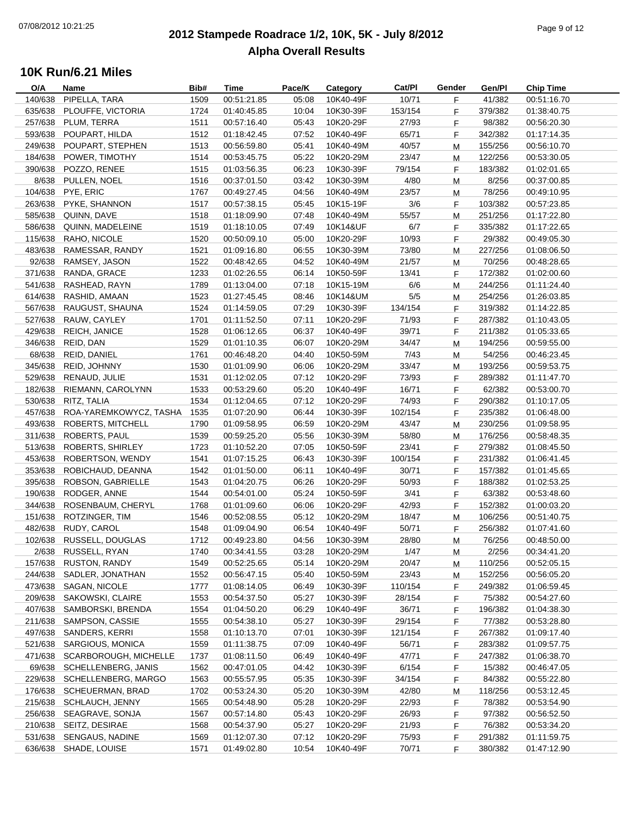### **2012 Stampede Roadrace 1/2, 10K, 5K - July 8/2012**  $P_1$  of  $P_2$  of  $P_3$  of  $P_4$  of  $P_5$  of  $P_6$  of  $P_7$  of  $P_8$  of  $P_9$  of  $P_9$  of  $P_9$  of  $P_9$ **Alpha Overall Results**

| O/A     | Name                   | Bib# | Time        | Pace/K | Category  | Cat/PI  | Gender | Gen/Pl  | <b>Chip Time</b> |
|---------|------------------------|------|-------------|--------|-----------|---------|--------|---------|------------------|
| 140/638 | PIPELLA, TARA          | 1509 | 00:51:21.85 | 05:08  | 10K40-49F | 10/71   | F      | 41/382  | 00:51:16.70      |
| 635/638 | PLOUFFE, VICTORIA      | 1724 | 01:40:45.85 | 10:04  | 10K30-39F | 153/154 | F      | 379/382 | 01:38:40.75      |
| 257/638 | PLUM, TERRA            | 1511 | 00:57:16.40 | 05:43  | 10K20-29F | 27/93   | F      | 98/382  | 00:56:20.30      |
| 593/638 | POUPART, HILDA         | 1512 | 01:18:42.45 | 07:52  | 10K40-49F | 65/71   | F      | 342/382 | 01:17:14.35      |
| 249/638 | POUPART, STEPHEN       | 1513 | 00:56:59.80 | 05:41  | 10K40-49M | 40/57   | M      | 155/256 | 00:56:10.70      |
| 184/638 | POWER, TIMOTHY         | 1514 | 00:53:45.75 | 05:22  | 10K20-29M | 23/47   | M      | 122/256 | 00:53:30.05      |
| 390/638 | POZZO, RENEE           | 1515 | 01:03:56.35 | 06:23  | 10K30-39F | 79/154  | F      | 183/382 | 01:02:01.65      |
| 8/638   | PULLEN, NOEL           | 1516 | 00:37:01.50 | 03:42  | 10K30-39M | 4/80    | M      | 8/256   | 00:37:00.85      |
| 104/638 | PYE, ERIC              | 1767 | 00:49:27.45 | 04:56  | 10K40-49M | 23/57   | M      | 78/256  | 00:49:10.95      |
| 263/638 | PYKE, SHANNON          | 1517 | 00:57:38.15 | 05:45  | 10K15-19F | 3/6     | F      | 103/382 | 00:57:23.85      |
| 585/638 | QUINN, DAVE            | 1518 | 01:18:09.90 | 07:48  | 10K40-49M | 55/57   | M      | 251/256 | 01:17:22.80      |
| 586/638 | QUINN, MADELEINE       | 1519 | 01:18:10.05 | 07:49  | 10K14&UF  | 6/7     | F      | 335/382 | 01:17:22.65      |
| 115/638 | RAHO, NICOLE           | 1520 | 00:50:09.10 | 05:00  | 10K20-29F | 10/93   | F.     | 29/382  | 00:49:05.30      |
| 483/638 | RAMESSAR, RANDY        | 1521 | 01:09:16.80 | 06:55  | 10K30-39M | 73/80   |        | 227/256 | 01:08:06.50      |
|         |                        |      |             |        |           |         | М      |         |                  |
| 92/638  | RAMSEY, JASON          | 1522 | 00:48:42.65 | 04:52  | 10K40-49M | 21/57   | M      | 70/256  | 00:48:28.65      |
| 371/638 | RANDA, GRACE           | 1233 | 01:02:26.55 | 06:14  | 10K50-59F | 13/41   | F      | 172/382 | 01:02:00.60      |
| 541/638 | RASHEAD, RAYN          | 1789 | 01:13:04.00 | 07:18  | 10K15-19M | 6/6     | M      | 244/256 | 01:11:24.40      |
| 614/638 | RASHID, AMAAN          | 1523 | 01:27:45.45 | 08:46  | 10K14&UM  | $5/5$   | M      | 254/256 | 01:26:03.85      |
| 567/638 | RAUGUST, SHAUNA        | 1524 | 01:14:59.05 | 07:29  | 10K30-39F | 134/154 | F      | 319/382 | 01:14:22.85      |
| 527/638 | RAUW, CAYLEY           | 1701 | 01:11:52.50 | 07:11  | 10K20-29F | 71/93   | F.     | 287/382 | 01:10:43.05      |
| 429/638 | REICH, JANICE          | 1528 | 01:06:12.65 | 06:37  | 10K40-49F | 39/71   | F.     | 211/382 | 01:05:33.65      |
| 346/638 | REID, DAN              | 1529 | 01:01:10.35 | 06:07  | 10K20-29M | 34/47   | M      | 194/256 | 00:59:55.00      |
| 68/638  | REID, DANIEL           | 1761 | 00:46:48.20 | 04:40  | 10K50-59M | 7/43    | M      | 54/256  | 00:46:23.45      |
| 345/638 | REID, JOHNNY           | 1530 | 01:01:09.90 | 06:06  | 10K20-29M | 33/47   | M      | 193/256 | 00:59:53.75      |
| 529/638 | RENAUD, JULIE          | 1531 | 01:12:02.05 | 07:12  | 10K20-29F | 73/93   | F      | 289/382 | 01:11:47.70      |
| 182/638 | RIEMANN, CAROLYNN      | 1533 | 00:53:29.60 | 05:20  | 10K40-49F | 16/71   | F      | 62/382  | 00:53:00.70      |
| 530/638 | RITZ, TALIA            | 1534 | 01:12:04.65 | 07:12  | 10K20-29F | 74/93   | F      | 290/382 | 01:10:17.05      |
| 457/638 | ROA-YAREMKOWYCZ, TASHA | 1535 | 01:07:20.90 | 06:44  | 10K30-39F | 102/154 | F.     | 235/382 | 01:06:48.00      |
| 493/638 | ROBERTS, MITCHELL      | 1790 | 01:09:58.95 | 06:59  | 10K20-29M | 43/47   | M      | 230/256 | 01:09:58.95      |
| 311/638 | ROBERTS, PAUL          | 1539 | 00:59:25.20 | 05:56  | 10K30-39M | 58/80   | М      | 176/256 | 00:58:48.35      |
| 513/638 | ROBERTS, SHIRLEY       | 1723 | 01:10:52.20 | 07:05  | 10K50-59F | 23/41   | F      | 279/382 | 01:08:45.50      |
| 453/638 | ROBERTSON, WENDY       | 1541 | 01:07:15.25 | 06:43  | 10K30-39F | 100/154 | F      | 231/382 | 01:06:41.45      |
| 353/638 | ROBICHAUD, DEANNA      | 1542 | 01:01:50.00 | 06:11  | 10K40-49F | 30/71   | F      | 157/382 | 01:01:45.65      |
| 395/638 | ROBSON, GABRIELLE      | 1543 | 01:04:20.75 | 06:26  | 10K20-29F | 50/93   | F      | 188/382 | 01:02:53.25      |
| 190/638 | RODGER, ANNE           | 1544 | 00:54:01.00 | 05:24  | 10K50-59F | 3/41    | F.     | 63/382  | 00:53:48.60      |
| 344/638 | ROSENBAUM, CHERYL      | 1768 | 01:01:09.60 | 06:06  | 10K20-29F | 42/93   | F.     | 152/382 | 01:00:03.20      |
| 151/638 | ROTZINGER, TIM         | 1546 | 00:52:08.55 | 05:12  | 10K20-29M | 18/47   | M      | 106/256 | 00:51:40.75      |
| 482/638 | RUDY, CAROL            | 1548 | 01:09:04.90 | 06:54  | 10K40-49F | 50/71   | F      | 256/382 | 01:07:41.60      |
| 102/638 | RUSSELL, DOUGLAS       | 1712 | 00:49:23.80 | 04:56  | 10K30-39M | 28/80   | M      | 76/256  | 00:48:50.00      |
| 2/638   | RUSSELL, RYAN          | 1740 | 00:34:41.55 | 03:28  | 10K20-29M | 1/47    | M      | 2/256   | 00:34:41.20      |
| 157/638 | <b>RUSTON, RANDY</b>   | 1549 | 00:52:25.65 | 05:14  | 10K20-29M | 20/47   | M      | 110/256 | 00:52:05.15      |
| 244/638 | SADLER, JONATHAN       | 1552 | 00:56:47.15 | 05:40  | 10K50-59M | 23/43   | M      | 152/256 | 00:56:05.20      |
| 473/638 | SAGAN, NICOLE          | 1777 | 01:08:14.05 | 06:49  | 10K30-39F | 110/154 | F      | 249/382 | 01:06:59.45      |
| 209/638 | SAKOWSKI, CLAIRE       | 1553 | 00:54:37.50 | 05:27  | 10K30-39F | 28/154  | F      | 75/382  | 00:54:27.60      |
| 407/638 | SAMBORSKI, BRENDA      | 1554 | 01:04:50.20 | 06:29  | 10K40-49F | 36/71   | F      | 196/382 | 01:04:38.30      |
| 211/638 | SAMPSON, CASSIE        | 1555 | 00:54:38.10 | 05:27  | 10K30-39F | 29/154  | F      | 77/382  | 00:53:28.80      |
| 497/638 | SANDERS, KERRI         |      | 01:10:13.70 |        | 10K30-39F | 121/154 |        | 267/382 | 01:09:17.40      |
|         |                        | 1558 |             | 07:01  |           |         | F      |         |                  |
| 521/638 | SARGIOUS, MONICA       | 1559 | 01:11:38.75 | 07:09  | 10K40-49F | 56/71   | F.     | 283/382 | 01:09:57.75      |
| 471/638 | SCARBOROUGH, MICHELLE  | 1737 | 01:08:11.50 | 06:49  | 10K40-49F | 47/71   | F      | 247/382 | 01:06:38.70      |
| 69/638  | SCHELLENBERG, JANIS    | 1562 | 00:47:01.05 | 04:42  | 10K30-39F | 6/154   | F      | 15/382  | 00:46:47.05      |
| 229/638 | SCHELLENBERG, MARGO    | 1563 | 00:55:57.95 | 05:35  | 10K30-39F | 34/154  | F      | 84/382  | 00:55:22.80      |
| 176/638 | SCHEUERMAN, BRAD       | 1702 | 00:53:24.30 | 05:20  | 10K30-39M | 42/80   | M      | 118/256 | 00:53:12.45      |
| 215/638 | SCHLAUCH, JENNY        | 1565 | 00:54:48.90 | 05:28  | 10K20-29F | 22/93   | F      | 78/382  | 00:53:54.90      |
| 256/638 | SEAGRAVE, SONJA        | 1567 | 00:57:14.80 | 05:43  | 10K20-29F | 26/93   | F      | 97/382  | 00:56:52.50      |
| 210/638 | SEITZ, DESIRAE         | 1568 | 00:54:37.90 | 05:27  | 10K20-29F | 21/93   | F.     | 76/382  | 00:53:34.20      |
| 531/638 | SENGAUS, NADINE        | 1569 | 01:12:07.30 | 07:12  | 10K20-29F | 75/93   | F      | 291/382 | 01:11:59.75      |
| 636/638 | SHADE, LOUISE          | 1571 | 01:49:02.80 | 10:54  | 10K40-49F | 70/71   | F      | 380/382 | 01:47:12.90      |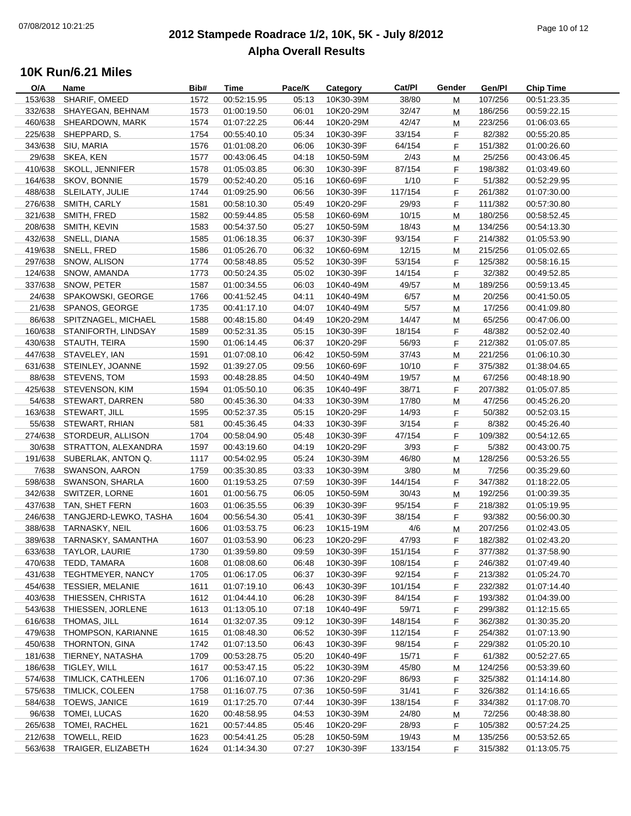### **2012 Stampede Roadrace 1/2, 10K, 5K - July 8/2012** Page 10 of 12 **Alpha Overall Results**

| O/A     | Name                        | Bib# | Time                       | Pace/K | Category  | Cat/PI  | Gender    | Gen/Pl  | <b>Chip Time</b> |
|---------|-----------------------------|------|----------------------------|--------|-----------|---------|-----------|---------|------------------|
| 153/638 | SHARIF, OMEED               | 1572 | 00:52:15.95                | 05:13  | 10K30-39M | 38/80   | M         | 107/256 | 00:51:23.35      |
| 332/638 | SHAYEGAN, BEHNAM            | 1573 | 01:00:19.50                | 06:01  | 10K20-29M | 32/47   | M         | 186/256 | 00:59:22.15      |
| 460/638 | SHEARDOWN, MARK             | 1574 | 01:07:22.25                | 06:44  | 10K20-29M | 42/47   | M         | 223/256 | 01:06:03.65      |
| 225/638 | SHEPPARD, S.                | 1754 | 00:55:40.10                | 05:34  | 10K30-39F | 33/154  | F.        | 82/382  | 00:55:20.85      |
| 343/638 | SIU, MARIA                  | 1576 | 01:01:08.20                | 06:06  | 10K30-39F | 64/154  | F         | 151/382 | 01:00:26.60      |
| 29/638  | SKEA, KEN                   | 1577 | 00:43:06.45                | 04:18  | 10K50-59M | 2/43    | M         | 25/256  | 00:43:06.45      |
| 410/638 | SKOLL, JENNIFER             | 1578 | 01:05:03.85                | 06:30  | 10K30-39F | 87/154  | F         | 198/382 | 01:03:49.60      |
| 164/638 | SKOV, BONNIE                | 1579 | 00:52:40.20                | 05:16  | 10K60-69F | 1/10    | F         | 51/382  | 00:52:29.95      |
| 488/638 | SLEILATY, JULIE             | 1744 | 01:09:25.90                | 06:56  | 10K30-39F | 117/154 | F.        | 261/382 | 01:07:30.00      |
| 276/638 | SMITH, CARLY                | 1581 | 00:58:10.30                | 05:49  | 10K20-29F | 29/93   | F         | 111/382 | 00:57:30.80      |
| 321/638 | SMITH, FRED                 | 1582 | 00:59:44.85                | 05:58  | 10K60-69M | 10/15   | M         | 180/256 | 00:58:52.45      |
| 208/638 | SMITH, KEVIN                | 1583 | 00:54:37.50                | 05:27  | 10K50-59M | 18/43   | м         | 134/256 | 00:54:13.30      |
|         | 432/638 SNELL, DIANA        | 1585 | 01:06:18.35                | 06:37  | 10K30-39F | 93/154  | F.        | 214/382 | 01:05:53.90      |
| 419/638 | SNELL, FRED                 | 1586 | 01:05:26.70                | 06:32  | 10K60-69M | 12/15   |           | 215/256 | 01:05:02.65      |
|         |                             |      | 00:58:48.85                |        |           |         | м         |         |                  |
| 297/638 | SNOW, ALISON                | 1774 |                            | 05:52  | 10K30-39F | 53/154  | F.        | 125/382 | 00:58:16.15      |
| 124/638 | SNOW, AMANDA                | 1773 | 00:50:24.35                | 05:02  | 10K30-39F | 14/154  | F.        | 32/382  | 00:49:52.85      |
| 337/638 | SNOW, PETER                 | 1587 | 01:00:34.55                | 06:03  | 10K40-49M | 49/57   | M         | 189/256 | 00:59:13.45      |
| 24/638  | SPAKOWSKI, GEORGE           | 1766 | 00:41:52.45                | 04:11  | 10K40-49M | 6/57    | M         | 20/256  | 00:41:50.05      |
| 21/638  | SPANOS, GEORGE              | 1735 | 00:41:17.10                | 04:07  | 10K40-49M | 5/57    | M         | 17/256  | 00:41:09.80      |
| 86/638  | SPITZNAGEL, MICHAEL         | 1588 | 00:48:15.80                | 04:49  | 10K20-29M | 14/47   | М         | 65/256  | 00:47:06.00      |
|         | 160/638 STANIFORTH, LINDSAY | 1589 | 00:52:31.35                | 05:15  | 10K30-39F | 18/154  | F.        | 48/382  | 00:52:02.40      |
|         | 430/638 STAUTH, TEIRA       | 1590 | 01:06:14.45                | 06:37  | 10K20-29F | 56/93   | F.        | 212/382 | 01:05:07.85      |
|         | 447/638 STAVELEY, IAN       | 1591 | 01:07:08.10                | 06:42  | 10K50-59M | 37/43   | M         | 221/256 | 01:06:10.30      |
| 631/638 | STEINLEY, JOANNE            | 1592 | 01:39:27.05                | 09:56  | 10K60-69F | 10/10   | F.        | 375/382 | 01:38:04.65      |
|         | 88/638 STEVENS, TOM         | 1593 | 00:48:28.85                | 04:50  | 10K40-49M | 19/57   | M         | 67/256  | 00:48:18.90      |
|         | 425/638 STEVENSON, KIM      | 1594 | 01:05:50.10                | 06:35  | 10K40-49F | 38/71   | F.        | 207/382 | 01:05:07.85      |
|         | 54/638 STEWART, DARREN      | 580  | 00:45:36.30                | 04:33  | 10K30-39M | 17/80   | ${\sf M}$ | 47/256  | 00:45:26.20      |
| 163/638 | STEWART, JILL               | 1595 | 00:52:37.35                | 05:15  | 10K20-29F | 14/93   | F.        | 50/382  | 00:52:03.15      |
| 55/638  | STEWART, RHIAN              | 581  | 00:45:36.45                | 04:33  | 10K30-39F | 3/154   | F.        | 8/382   | 00:45:26.40      |
| 274/638 | STORDEUR, ALLISON           | 1704 | 00:58:04.90                | 05:48  | 10K30-39F | 47/154  | F.        | 109/382 | 00:54:12.65      |
| 30/638  | STRATTON, ALEXANDRA         | 1597 | 00:43:19.60                | 04:19  | 10K20-29F | 3/93    | F         | 5/382   | 00:43:00.75      |
| 191/638 | SUBERLAK, ANTON Q.          | 1117 | 00:54:02.95                | 05:24  | 10K30-39M | 46/80   | M         | 128/256 | 00:53:26.55      |
| 7/638   | SWANSON, AARON              | 1759 | 00:35:30.85                | 03:33  | 10K30-39M | 3/80    | M         | 7/256   | 00:35:29.60      |
| 598/638 | SWANSON, SHARLA             | 1600 | 01:19:53.25                | 07:59  | 10K30-39F | 144/154 | F.        | 347/382 | 01:18:22.05      |
| 342/638 | SWITZER, LORNE              | 1601 | 01:00:56.75                | 06:05  | 10K50-59M | 30/43   | ${\sf M}$ | 192/256 | 01:00:39.35      |
| 437/638 | TAN, SHET FERN              | 1603 | 01:06:35.55                | 06:39  | 10K30-39F | 95/154  | F.        | 218/382 | 01:05:19.95      |
| 246/638 | TANGJERD-LEWKO, TASHA       | 1604 | 00:56:54.30                | 05:41  | 10K30-39F | 38/154  | F.        | 93/382  | 00:56:00.30      |
| 388/638 | TARNASKY, NEIL              | 1606 | 01:03:53.75                | 06:23  | 10K15-19M | 4/6     | M         | 207/256 | 01:02:43.05      |
| 389/638 | TARNASKY, SAMANTHA          | 1607 | 01:03:53.90                | 06:23  | 10K20-29F | 47/93   | F.        | 182/382 | 01:02:43.20      |
|         | 633/638 TAYLOR, LAURIE      | 1730 | 01:39:59.80                | 09:59  | 10K30-39F | 151/154 | F.        | 377/382 | 01:37:58.90      |
| 470/638 | TEDD, TAMARA                | 1608 | 01:08:08.60                | 06:48  | 10K30-39F | 108/154 | F.        | 246/382 | 01:07:49.40      |
| 431/638 | TEGHTMEYER, NANCY           | 1705 | 01:06:17.05                | 06:37  | 10K30-39F | 92/154  | F.        | 213/382 | 01:05:24.70      |
| 454/638 | <b>TESSIER, MELANIE</b>     | 1611 | 01:07:19.10                | 06:43  | 10K30-39F | 101/154 | F         | 232/382 | 01:07:14.40      |
| 403/638 | THIESSEN, CHRISTA           | 1612 | 01:04:44.10                | 06:28  | 10K30-39F | 84/154  | F         | 193/382 | 01:04:39.00      |
| 543/638 | THIESSEN, JORLENE           |      |                            | 07:18  | 10K40-49F | 59/71   |           | 299/382 |                  |
|         |                             | 1613 | 01:13:05.10<br>01:32:07.35 |        |           | 148/154 | F.        |         | 01:12:15.65      |
| 616/638 | THOMAS, JILL                | 1614 |                            | 09:12  | 10K30-39F |         | F         | 362/382 | 01:30:35.20      |
| 479/638 | THOMPSON, KARIANNE          | 1615 | 01:08:48.30                | 06:52  | 10K30-39F | 112/154 | F.        | 254/382 | 01:07:13.90      |
| 450/638 | THORNTON, GINA              | 1742 | 01:07:13.50                | 06:43  | 10K30-39F | 98/154  | F         | 229/382 | 01:05:20.10      |
| 181/638 | TIERNEY, NATASHA            | 1709 | 00:53:28.75                | 05:20  | 10K40-49F | 15/71   | F         | 61/382  | 00:52:27.65      |
| 186/638 | TIGLEY, WILL                | 1617 | 00:53:47.15                | 05:22  | 10K30-39M | 45/80   | M         | 124/256 | 00:53:39.60      |
| 574/638 | TIMLICK, CATHLEEN           | 1706 | 01:16:07.10                | 07:36  | 10K20-29F | 86/93   | F         | 325/382 | 01:14:14.80      |
| 575/638 | TIMLICK, COLEEN             | 1758 | 01:16:07.75                | 07:36  | 10K50-59F | 31/41   | F         | 326/382 | 01:14:16.65      |
| 584/638 | TOEWS, JANICE               | 1619 | 01:17:25.70                | 07:44  | 10K30-39F | 138/154 | F.        | 334/382 | 01:17:08.70      |
| 96/638  | TOMEI, LUCAS                | 1620 | 00:48:58.95                | 04:53  | 10K30-39M | 24/80   | M         | 72/256  | 00:48:38.80      |
| 265/638 | TOMEI, RACHEL               | 1621 | 00:57:44.85                | 05:46  | 10K20-29F | 28/93   | F         | 105/382 | 00:57:24.25      |
| 212/638 | TOWELL, REID                | 1623 | 00:54:41.25                | 05:28  | 10K50-59M | 19/43   | M         | 135/256 | 00:53:52.65      |
| 563/638 | TRAIGER, ELIZABETH          | 1624 | 01:14:34.30                | 07:27  | 10K30-39F | 133/154 | F.        | 315/382 | 01:13:05.75      |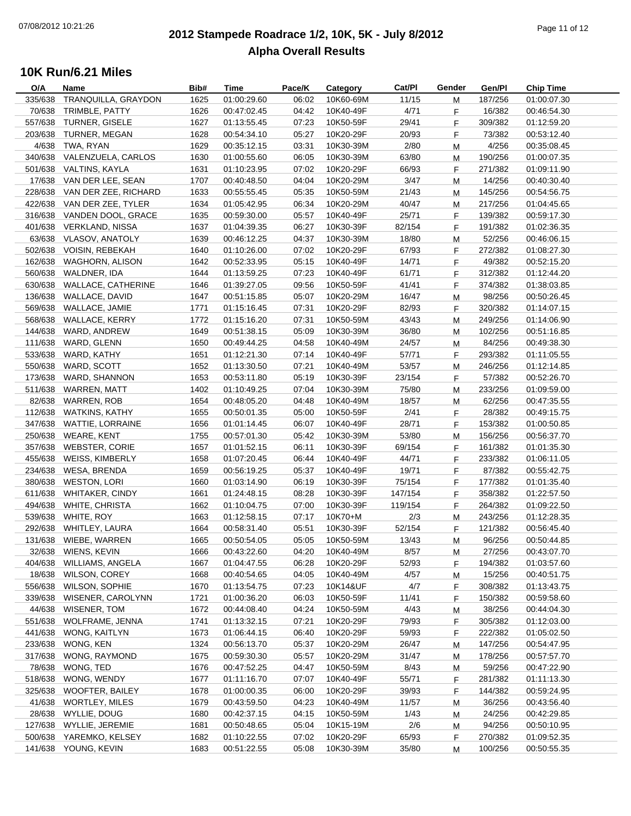### **2012 Stampede Roadrace 1/2, 10K, 5K - July 8/2012**  $\frac{1}{2}$  Page 11 of 12 **Alpha Overall Results**

| O/A     | Name                       | Bib# | Time        | Pace/K | Category  | Cat/PI  | Gender | Gen/Pl  | <b>Chip Time</b> |
|---------|----------------------------|------|-------------|--------|-----------|---------|--------|---------|------------------|
| 335/638 | TRANQUILLA, GRAYDON        | 1625 | 01:00:29.60 | 06:02  | 10K60-69M | 11/15   | М      | 187/256 | 01:00:07.30      |
| 70/638  | TRIMBLE, PATTY             | 1626 | 00:47:02.45 | 04:42  | 10K40-49F | 4/71    | F      | 16/382  | 00:46:54.30      |
| 557/638 | <b>TURNER, GISELE</b>      | 1627 | 01:13:55.45 | 07:23  | 10K50-59F | 29/41   | F      | 309/382 | 01:12:59.20      |
| 203/638 | TURNER, MEGAN              | 1628 | 00:54:34.10 | 05:27  | 10K20-29F | 20/93   | F.     | 73/382  | 00:53:12.40      |
| 4/638   | TWA, RYAN                  | 1629 | 00:35:12.15 | 03:31  | 10K30-39M | 2/80    | M      | 4/256   | 00:35:08.45      |
| 340/638 | VALENZUELA, CARLOS         | 1630 | 01:00:55.60 | 06:05  | 10K30-39M | 63/80   | M      | 190/256 | 01:00:07.35      |
| 501/638 | VALTINS, KAYLA             | 1631 | 01:10:23.95 | 07:02  | 10K20-29F | 66/93   | F      | 271/382 | 01:09:11.90      |
| 17/638  | VAN DER LEE, SEAN          | 1707 | 00:40:48.50 | 04:04  | 10K20-29M | 3/47    | M      | 14/256  | 00:40:30.40      |
| 228/638 | VAN DER ZEE, RICHARD       | 1633 | 00:55:55.45 | 05:35  | 10K50-59M | 21/43   | М      | 145/256 | 00:54:56.75      |
|         | 422/638 VAN DER ZEE, TYLER | 1634 | 01:05:42.95 | 06:34  | 10K20-29M | 40/47   | M      | 217/256 | 01:04:45.65      |
| 316/638 | VANDEN DOOL, GRACE         | 1635 | 00:59:30.00 | 05:57  | 10K40-49F | 25/71   | F      | 139/382 | 00:59:17.30      |
| 401/638 | <b>VERKLAND, NISSA</b>     | 1637 | 01:04:39.35 | 06:27  | 10K30-39F | 82/154  | F      | 191/382 | 01:02:36.35      |
| 63/638  | <b>VLASOV, ANATOLY</b>     | 1639 | 00:46:12.25 | 04:37  | 10K30-39M | 18/80   | M      | 52/256  | 00:46:06.15      |
|         | 502/638 VOISIN, REBEKAH    | 1640 | 01:10:26.00 | 07:02  | 10K20-29F | 67/93   | F      | 272/382 | 01:08:27.30      |
| 162/638 | WAGHORN, ALISON            | 1642 | 00:52:33.95 | 05:15  | 10K40-49F | 14/71   | F.     | 49/382  | 00:52:15.20      |
| 560/638 | WALDNER, IDA               | 1644 | 01:13:59.25 | 07:23  | 10K40-49F | 61/71   | F      | 312/382 | 01:12:44.20      |
| 630/638 | WALLACE, CATHERINE         | 1646 | 01:39:27.05 | 09:56  | 10K50-59F | 41/41   | F      | 374/382 | 01:38:03.85      |
| 136/638 | WALLACE, DAVID             | 1647 | 00:51:15.85 | 05:07  | 10K20-29M | 16/47   | M      | 98/256  | 00:50:26.45      |
| 569/638 | WALLACE, JAMIE             | 1771 | 01:15:16.45 | 07:31  | 10K20-29F | 82/93   | F.     | 320/382 | 01:14:07.15      |
| 568/638 | <b>WALLACE, KERRY</b>      | 1772 | 01:15:16.20 | 07:31  | 10K50-59M | 43/43   | M      | 249/256 | 01:14:06.90      |
| 144/638 | WARD, ANDREW               | 1649 | 00:51:38.15 | 05:09  | 10K30-39M | 36/80   |        | 102/256 | 00:51:16.85      |
|         |                            |      |             |        |           |         | M      |         |                  |
| 111/638 | WARD, GLENN                | 1650 | 00:49:44.25 | 04:58  | 10K40-49M | 24/57   | M      | 84/256  | 00:49:38.30      |
| 533/638 | WARD, KATHY                | 1651 | 01:12:21.30 | 07:14  | 10K40-49F | 57/71   | F      | 293/382 | 01:11:05.55      |
| 550/638 | WARD, SCOTT                | 1652 | 01:13:30.50 | 07:21  | 10K40-49M | 53/57   | М      | 246/256 | 01:12:14.85      |
| 173/638 | WARD, SHANNON              | 1653 | 00:53:11.80 | 05:19  | 10K30-39F | 23/154  | F.     | 57/382  | 00:52:26.70      |
| 511/638 | WARREN, MATT               | 1402 | 01:10:49.25 | 07:04  | 10K30-39M | 75/80   | М      | 233/256 | 01:09:59.00      |
| 82/638  | <b>WARREN, ROB</b>         | 1654 | 00:48:05.20 | 04:48  | 10K40-49M | 18/57   | M      | 62/256  | 00:47:35.55      |
| 112/638 | <b>WATKINS, KATHY</b>      | 1655 | 00:50:01.35 | 05:00  | 10K50-59F | 2/41    | F      | 28/382  | 00:49:15.75      |
| 347/638 | <b>WATTIE, LORRAINE</b>    | 1656 | 01:01:14.45 | 06:07  | 10K40-49F | 28/71   | F.     | 153/382 | 01:00:50.85      |
| 250/638 | <b>WEARE, KENT</b>         | 1755 | 00:57:01.30 | 05:42  | 10K30-39M | 53/80   | М      | 156/256 | 00:56:37.70      |
| 357/638 | <b>WEBSTER, CORIE</b>      | 1657 | 01:01:52.15 | 06:11  | 10K30-39F | 69/154  | F      | 161/382 | 01:01:35.30      |
| 455/638 | WEISS, KIMBERLY            | 1658 | 01:07:20.45 | 06:44  | 10K40-49F | 44/71   | F      | 233/382 | 01:06:11.05      |
| 234/638 | WESA, BRENDA               | 1659 | 00:56:19.25 | 05:37  | 10K40-49F | 19/71   | F      | 87/382  | 00:55:42.75      |
| 380/638 | <b>WESTON, LORI</b>        | 1660 | 01:03:14.90 | 06:19  | 10K30-39F | 75/154  | F      | 177/382 | 01:01:35.40      |
| 611/638 | <b>WHITAKER, CINDY</b>     | 1661 | 01:24:48.15 | 08:28  | 10K30-39F | 147/154 | F      | 358/382 | 01:22:57.50      |
| 494/638 | <b>WHITE, CHRISTA</b>      | 1662 | 01:10:04.75 | 07:00  | 10K30-39F | 119/154 | F.     | 264/382 | 01:09:22.50      |
| 539/638 | WHITE, ROY                 | 1663 | 01:12:58.15 | 07:17  | 10K70+M   | 2/3     | М      | 243/256 | 01:12:28.35      |
| 292/638 | WHITLEY, LAURA             | 1664 | 00:58:31.40 | 05:51  | 10K30-39F | 52/154  | F.     | 121/382 | 00:56:45.40      |
|         | 131/638 WIEBE, WARREN      | 1665 | 00:50:54.05 | 05:05  | 10K50-59M | 13/43   | M      | 96/256  | 00:50:44.85      |
|         | 32/638 WIENS, KEVIN        | 1666 | 00:43:22.60 | 04:20  | 10K40-49M | 8/57    | M      | 27/256  | 00:43:07.70      |
| 404/638 | <b>WILLIAMS, ANGELA</b>    | 1667 | 01:04:47.55 | 06:28  | 10K20-29F | 52/93   | F.     | 194/382 | 01:03:57.60      |
| 18/638  | <b>WILSON, COREY</b>       | 1668 | 00:40:54.65 | 04:05  | 10K40-49M | 4/57    | M      | 15/256  | 00:40:51.75      |
| 556/638 | <b>WILSON, SOPHIE</b>      | 1670 | 01:13:54.75 | 07:23  | 10K14&UF  | 4/7     | F.     | 308/382 | 01:13:43.75      |
| 339/638 | WISENER, CAROLYNN          | 1721 | 01:00:36.20 | 06:03  | 10K50-59F | 11/41   | F      | 150/382 | 00:59:58.60      |
| 44/638  | WISENER, TOM               | 1672 | 00:44:08.40 | 04:24  | 10K50-59M | 4/43    | M      | 38/256  | 00:44:04.30      |
| 551/638 | WOLFRAME, JENNA            | 1741 | 01:13:32.15 | 07:21  | 10K20-29F | 79/93   | F.     | 305/382 | 01:12:03.00      |
| 441/638 | WONG, KAITLYN              | 1673 | 01:06:44.15 | 06:40  | 10K20-29F | 59/93   | F      | 222/382 | 01:05:02.50      |
| 233/638 | WONG, KEN                  | 1324 | 00:56:13.70 | 05:37  | 10K20-29M | 26/47   | M      | 147/256 | 00:54:47.95      |
| 317/638 | WONG, RAYMOND              | 1675 | 00:59:30.30 | 05:57  | 10K20-29M | 31/47   | M      | 178/256 | 00:57:57.70      |
| 78/638  | WONG, TED                  | 1676 | 00:47:52.25 | 04:47  | 10K50-59M | 8/43    | M      | 59/256  | 00:47:22.90      |
| 518/638 | WONG, WENDY                | 1677 | 01:11:16.70 | 07:07  | 10K40-49F | 55/71   | F      | 281/382 | 01:11:13.30      |
| 325/638 | WOOFTER, BAILEY            | 1678 | 01:00:00.35 | 06:00  | 10K20-29F | 39/93   | F      | 144/382 | 00:59:24.95      |
| 41/638  | WORTLEY, MILES             | 1679 | 00:43:59.50 | 04:23  | 10K40-49M | 11/57   | M      | 36/256  | 00:43:56.40      |
| 28/638  | WYLLIE, DOUG               | 1680 | 00:42:37.15 | 04:15  | 10K50-59M | 1/43    |        | 24/256  | 00:42:29.85      |
| 127/638 | WYLLIE, JEREMIE            | 1681 | 00:50:48.65 | 05:04  | 10K15-19M | 2/6     | M      | 94/256  | 00:50:10.95      |
| 500/638 |                            |      |             | 07:02  | 10K20-29F |         | M      |         |                  |
|         | YAREMKO, KELSEY            | 1682 | 01:10:22.55 |        |           | 65/93   | F.     | 270/382 | 01:09:52.35      |
| 141/638 | YOUNG, KEVIN               | 1683 | 00:51:22.55 | 05:08  | 10K30-39M | 35/80   | M      | 100/256 | 00:50:55.35      |